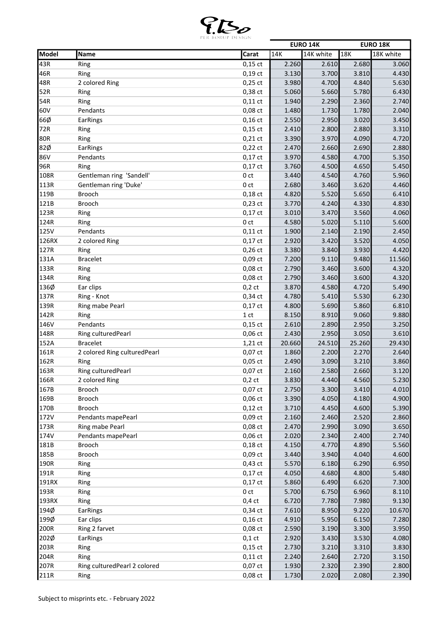

|       |                               |                 |        | <b>EURO 14K</b> |        | <b>EURO 18K</b> |
|-------|-------------------------------|-----------------|--------|-----------------|--------|-----------------|
| Model | <b>Name</b>                   | Carat           | 14K    | 14K white       | 18K    | 18K white       |
| 43R   | Ring                          | $0,15$ ct       | 2.260  | 2.610           | 2.680  | 3.060           |
| 46R   | Ring                          | $0,19$ ct       | 3.130  | 3.700           | 3.810  | 4.430           |
| 48R   | 2 colored Ring                | $0,25$ ct       | 3.980  | 4.700           | 4.840  | 5.630           |
| 52R   | Ring                          | 0,38 ct         | 5.060  | 5.660           | 5.780  | 6.430           |
| 54R   | Ring                          | $0,11$ ct       | 1.940  | 2.290           | 2.360  | 2.740           |
| 60V   | Pendants                      | 0,08 ct         | 1.480  | 1.730           | 1.780  | 2.040           |
| 66Ø   | EarRings                      | $0,16$ ct       | 2.550  | 2.950           | 3.020  | 3.450           |
| 72R   | Ring                          | $0,15$ ct       | 2.410  | 2.800           | 2.880  | 3.310           |
| 80R   | Ring                          | $0,21$ ct       | 3.390  | 3.970           | 4.090  | 4.720           |
| 82Ø   | <b>EarRings</b>               | $0,22$ ct       | 2.470  | 2.660           | 2.690  | 2.880           |
| 86V   | Pendants                      | $0,17$ ct       | 3.970  | 4.580           | 4.700  | 5.350           |
| 96R   | Ring                          | $0,17$ ct       | 3.760  | 4.500           | 4.650  | 5.450           |
| 108R  | Gentleman ring 'Sandell'      | 0 <sub>ct</sub> | 3.440  | 4.540           | 4.760  | 5.960           |
| 113R  | Gentleman ring 'Duke'         | 0 <sub>ct</sub> | 2.680  | 3.460           | 3.620  | 4.460           |
| 119B  | <b>Brooch</b>                 | $0,18$ ct       | 4.820  | 5.520           | 5.650  | 6.410           |
| 121B  |                               |                 |        |                 | 4.330  | 4.830           |
| 123R  | <b>Brooch</b>                 | $0,23$ ct       | 3.770  | 4.240<br>3.470  |        | 4.060           |
|       | Ring                          | $0,17$ ct       | 3.010  |                 | 3.560  |                 |
| 124R  | Ring                          | 0 <sub>ct</sub> | 4.580  | 5.020           | 5.110  | 5.600           |
| 125V  | Pendants                      | $0,11$ ct       | 1.900  | 2.140           | 2.190  | 2.450           |
| 126RX | 2 colored Ring                | $0,17$ ct       | 2.920  | 3.420           | 3.520  | 4.050           |
| 127R  | Ring                          | $0,26$ ct       | 3.380  | 3.840           | 3.930  | 4.420           |
| 131A  | <b>Bracelet</b>               | 0,09 ct         | 7.200  | 9.110           | 9.480  | 11.560          |
| 133R  | Ring                          | $0,08$ ct       | 2.790  | 3.460           | 3.600  | 4.320           |
| 134R  | Ring                          | 0,08 ct         | 2.790  | 3.460           | 3.600  | 4.320           |
| 136Ø  | Ear clips                     | $0,2$ ct        | 3.870  | 4.580           | 4.720  | 5.490           |
| 137R  | Ring - Knot                   | 0,34 ct         | 4.780  | 5.410           | 5.530  | 6.230           |
| 139R  | Ring mabe Pearl               | $0,17$ ct       | 4.800  | 5.690           | 5.860  | 6.810           |
| 142R  | Ring                          | 1 <sub>ct</sub> | 8.150  | 8.910           | 9.060  | 9.880           |
| 146V  | Pendants                      | $0,15$ ct       | 2.610  | 2.890           | 2.950  | 3.250           |
| 148R  | Ring culturedPearl            | $0,06$ ct       | 2.430  | 2.950           | 3.050  | 3.610           |
| 152A  | <b>Bracelet</b>               | 1,21 ct         | 20.660 | 24.510          | 25.260 | 29.430          |
| 161R  | 2 colored Ring culturedPearl  | $0,07$ ct       | 1.860  | 2.200           | 2.270  | 2.640           |
| 162R  | Ring                          | $0,05$ ct       | 2.490  | 3.090           | 3.210  | 3.860           |
| 163R  | Ring cultured Pearl           | 0,07 ct         | 2.160  | 2.580           | 2.660  | 3.120           |
| 166R  | 2 colored Ring                | $0,2$ ct        | 3.830  | 4.440           | 4.560  | 5.230           |
| 167B  | Brooch                        | $0,07$ ct       | 2.750  | 3.300           | 3.410  | 4.010           |
| 169B  | Brooch                        | 0,06 ct         | 3.390  | 4.050           | 4.180  | 4.900           |
| 170B  | Brooch                        | $0,12$ ct       | 3.710  | 4.450           | 4.600  | 5.390           |
| 172V  | Pendants mapePearl            | $0,09$ ct       | 2.160  | 2.460           | 2.520  | 2.860           |
| 173R  | Ring mabe Pearl               | $0,08$ ct       | 2.470  | 2.990           | 3.090  | 3.650           |
| 174V  | Pendants mapePearl            | $0,06$ ct       | 2.020  | 2.340           | 2.400  | 2.740           |
| 181B  | Brooch                        | $0,18$ ct       | 4.150  | 4.770           | 4.890  | 5.560           |
| 185B  | Brooch                        | $0,09$ ct       | 3.440  | 3.940           | 4.040  | 4.600           |
| 190R  |                               | 0,43 ct         | 5.570  | 6.180           | 6.290  | 6.950           |
| 191R  | Ring                          |                 |        |                 |        |                 |
|       | Ring                          | 0,17 ct         | 4.050  | 4.680           | 4.800  | 5.480           |
| 191RX | Ring                          | $0,17$ ct       | 5.860  | 6.490           | 6.620  | 7.300           |
| 193R  | Ring                          | 0 ct            | 5.700  | 6.750           | 6.960  | 8.110           |
| 193RX | Ring                          | $0,4$ ct        | 6.720  | 7.780           | 7.980  | 9.130           |
| 194Ø  | EarRings                      | $0,34$ ct       | 7.610  | 8.950           | 9.220  | 10.670          |
| 199Ø  | Ear clips                     | $0,16$ ct       | 4.910  | 5.950           | 6.150  | 7.280           |
| 200R  | Ring 2 farvet                 | 0,08 ct         | 2.590  | 3.190           | 3.300  | 3.950           |
| 202Ø  | EarRings                      | $0,1$ ct        | 2.920  | 3.430           | 3.530  | 4.080           |
| 203R  | Ring                          | 0,15 ct         | 2.730  | 3.210           | 3.310  | 3.830           |
| 204R  | Ring                          | $0,11$ ct       | 2.240  | 2.640           | 2.720  | 3.150           |
| 207R  | Ring cultured Pearl 2 colored | $0,07$ ct       | 1.930  | 2.320           | 2.390  | 2.800           |
| 211R  | Ring                          | 0,08 ct         | 1.730  | 2.020           | 2.080  | 2.390           |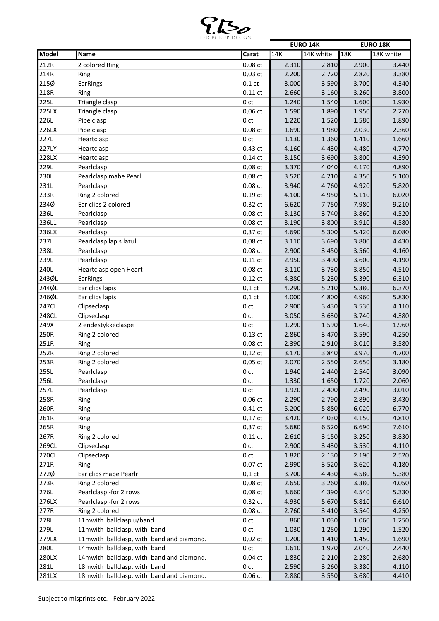

|             |                                           |                 |       | <b>EURO 14K</b> |       | <b>EURO 18K</b> |
|-------------|-------------------------------------------|-----------------|-------|-----------------|-------|-----------------|
| Model       | Name                                      | Carat           | 14K   | 14K white       | 18K   | 18K white       |
| 212R        | 2 colored Ring                            | 0,08 ct         | 2.310 | 2.810           | 2.900 | 3.440           |
| 214R        | Ring                                      | $0,03$ ct       | 2.200 | 2.720           | 2.820 | 3.380           |
| 215Ø        | <b>EarRings</b>                           | $0,1$ ct        | 3.000 | 3.590           | 3.700 | 4.340           |
| 218R        | Ring                                      | $0,11$ ct       | 2.660 | 3.160           | 3.260 | 3.800           |
| 225L        | Triangle clasp                            | 0 <sub>ct</sub> | 1.240 | 1.540           | 1.600 | 1.930           |
| 225LX       | Triangle clasp                            | $0,06$ ct       | 1.590 | 1.890           | 1.950 | 2.270           |
| <b>226L</b> | Pipe clasp                                | 0 <sub>ct</sub> | 1.220 | 1.520           | 1.580 | 1.890           |
| 226LX       | Pipe clasp                                | $0,08$ ct       | 1.690 | 1.980           | 2.030 | 2.360           |
| 227L        | Heartclasp                                | 0 <sub>ct</sub> | 1.130 | 1.360           | 1.410 | 1.660           |
| 227LY       | Heartclasp                                | $0,43$ ct       | 4.160 | 4.430           | 4.480 | 4.770           |
| 228LX       | Heartclasp                                | $0,14$ ct       | 3.150 | 3.690           | 3.800 | 4.390           |
| 229L        | Pearlclasp                                | 0,08 ct         | 3.370 | 4.040           | 4.170 | 4.890           |
| 230L        | Pearlclasp mabe Pearl                     | 0,08 ct         | 3.520 | 4.210           | 4.350 | 5.100           |
| 231L        | Pearlclasp                                | 0,08 ct         | 3.940 | 4.760           | 4.920 | 5.820           |
| 233R        | Ring 2 colored                            | $0,19$ ct       | 4.100 | 4.950           | 5.110 | 6.020           |
| 234Ø        | Ear clips 2 colored                       | 0,32 ct         | 6.620 | 7.750           | 7.980 | 9.210           |
| 236L        | Pearlclasp                                | 0,08 ct         | 3.130 | 3.740           | 3.860 | 4.520           |
| 236L1       | Pearlclasp                                | 0,08 ct         | 3.190 | 3.800           | 3.910 | 4.580           |
| 236LX       | Pearlclasp                                | $0,37$ ct       | 4.690 | 5.300           | 5.420 | 6.080           |
| 237L        | Pearlclasp lapis lazuli                   | 0,08 ct         | 3.110 | 3.690           | 3.800 | 4.430           |
| 238L        | Pearlclasp                                | 0,08 ct         | 2.900 | 3.450           | 3.560 | 4.160           |
| 239L        | Pearlclasp                                | $0,11$ ct       | 2.950 | 3.490           | 3.600 | 4.190           |
| 240L        | Heartclasp open Heart                     | 0,08 ct         | 3.110 | 3.730           | 3.850 | 4.510           |
| 243ØL       | EarRings                                  | $0,12$ ct       | 4.380 | 5.230           | 5.390 | 6.310           |
| 244ØL       | Ear clips lapis                           | $0,1$ ct        | 4.290 | 5.210           | 5.380 | 6.370           |
| 246ØL       | Ear clips lapis                           | $0,1$ ct        | 4.000 | 4.800           | 4.960 | 5.830           |
| 247CL       | Clipseclasp                               | 0 <sub>ct</sub> | 2.900 | 3.430           | 3.530 | 4.110           |
| 248CL       | Clipseclasp                               | 0 <sub>ct</sub> | 3.050 | 3.630           | 3.740 | 4.380           |
| 249X        | 2 endestykkeclaspe                        | 0 <sub>ct</sub> | 1.290 | 1.590           | 1.640 | 1.960           |
| 250R        | Ring 2 colored                            | $0,13$ ct       | 2.860 | 3.470           | 3.590 | 4.250           |
| 251R        | Ring                                      | $0,08$ ct       | 2.390 | 2.910           | 3.010 | 3.580           |
| 252R        | Ring 2 colored                            | $0,12$ ct       | 3.170 | 3.840           | 3.970 | 4.700           |
| 253R        | Ring 2 colored                            | $0,05$ ct       | 2.070 | 2.550           | 2.650 | 3.180           |
| <b>255L</b> | Pearlclasp                                | 0 ct            | 1.940 | 2.440           | 2.540 | 3.090           |
| 256L        | Pearlclasp                                | 0 ct            | 1.330 | 1.650           | 1.720 | 2.060           |
| 257L        | Pearlclasp                                | 0 ct            | 1.920 | 2.400           | 2.490 | 3.010           |
| 258R        | Ring                                      | $0,06$ ct       | 2.290 | 2.790           | 2.890 | 3.430           |
| 260R        | Ring                                      | $0,41$ ct       | 5.200 | 5.880           | 6.020 | 6.770           |
| 261R        | Ring                                      | $0,17$ ct       | 3.420 | 4.030           | 4.150 | 4.810           |
| 265R        | Ring                                      | $0,37$ ct       | 5.680 | 6.520           | 6.690 | 7.610           |
| 267R        | Ring 2 colored                            | $0,11$ ct       | 2.610 | 3.150           | 3.250 | 3.830           |
| 269CL       | Clipseclasp                               | 0 ct            | 2.900 | 3.430           | 3.530 | 4.110           |
| 270CL       | Clipseclasp                               | 0 ct            | 1.820 | 2.130           | 2.190 | 2.520           |
| 271R        | Ring                                      | $0,07$ ct       | 2.990 | 3.520           | 3.620 | 4.180           |
| 272Ø        | Ear clips mabe Pearlr                     | $0,1$ ct        | 3.700 | 4.430           | 4.580 | 5.380           |
| 273R        | Ring 2 colored                            | 0,08 ct         | 2.650 | 3.260           | 3.380 | 4.050           |
| 276L        | Pearlclasp -for 2 rows                    | 0,08 ct         | 3.660 | 4.390           | 4.540 | 5.330           |
| 276LX       | Pearlclasp -for 2 rows                    | $0,32$ ct       | 4.930 | 5.670           | 5.810 | 6.610           |
| 277R        | Ring 2 colored                            | $0,08$ ct       | 2.760 | 3.410           | 3.540 | 4.250           |
| 278L        | 11mwith ballclasp u/band                  | 0 ct            | 860   | 1.030           | 1.060 | 1.250           |
| 279L        | 11mwith ballclasp, with band              | 0 ct            | 1.030 | 1.250           | 1.290 | 1.520           |
| 279LX       | 11mwith ballclasp, with band and diamond. | $0,02$ ct       | 1.200 | 1.410           | 1.450 | 1.690           |
| 280L        | 14mwith ballclasp, with band              | 0 ct            | 1.610 | 1.970           | 2.040 | 2.440           |
| 280LX       | 14mwith ballclasp, with band and diamond. | $0,04$ ct       | 1.830 | 2.210           | 2.280 | 2.680           |
| 281L        | 18mwith ballclasp, with band              | 0 ct            | 2.590 | 3.260           | 3.380 | 4.110           |
| 281LX       | 18mwith ballclasp, with band and diamond. | $0,06$ ct       | 2.880 | 3.550           | 3.680 | 4.410           |
|             |                                           |                 |       |                 |       |                 |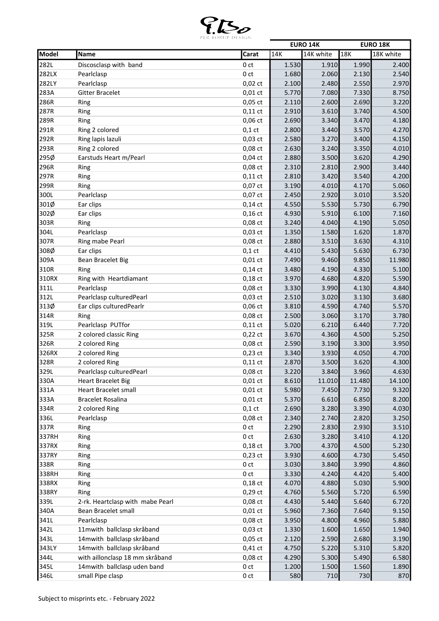

|       |                                  |                 |                | <b>EURO 14K</b> |        | <b>EURO 18K</b> |
|-------|----------------------------------|-----------------|----------------|-----------------|--------|-----------------|
| Model | Name                             | Carat           | 14K            | 14K white       | 18K    | 18K white       |
| 282L  | Discosclasp with band            | 0 <sub>ct</sub> | 1.530          | 1.910           | 1.990  | 2.400           |
| 282LX | Pearlclasp                       | 0 <sub>ct</sub> | 1.680          | 2.060           | 2.130  | 2.540           |
| 282LY | Pearlclasp                       | $0,02$ ct       | 2.100          | 2.480           | 2.550  | 2.970           |
| 283A  | <b>Gitter Bracelet</b>           | $0,01$ ct       | 5.770          | 7.080           | 7.330  | 8.750           |
| 286R  | Ring                             | $0,05$ ct       | 2.110          | 2.600           | 2.690  | 3.220           |
| 287R  | Ring                             | $0,11$ ct       | 2.910          | 3.610           | 3.740  | 4.500           |
| 289R  | Ring                             | $0,06$ ct       | 2.690          | 3.340           | 3.470  | 4.180           |
| 291R  | Ring 2 colored                   | $0,1$ ct        | 2.800          | 3.440           | 3.570  | 4.270           |
| 292R  | Ring lapis lazuli                | $0,03$ ct       | 2.580          | 3.270           | 3.400  | 4.150           |
| 293R  | Ring 2 colored                   | $0,08$ ct       | 2.630          | 3.240           | 3.350  | 4.010           |
| 295Ø  | Earstuds Heart m/Pearl           | $0,04$ ct       | 2.880          | 3.500           | 3.620  | 4.290           |
| 296R  | Ring                             | $0,08$ ct       | 2.310          | 2.810           | 2.900  | 3.440           |
| 297R  | Ring                             | $0,11$ ct       | 2.810          | 3.420           | 3.540  | 4.200           |
| 299R  | Ring                             | $0,07$ ct       | 3.190          | 4.010           | 4.170  | 5.060           |
| 300L  | Pearlclasp                       | 0,07 ct         | 2.450          | 2.920           | 3.010  | 3.520           |
| 301Ø  | Ear clips                        | $0,14$ ct       | 4.550          | 5.530           | 5.730  | 6.790           |
| 302Ø  | Ear clips                        | $0,16$ ct       | 4.930          | 5.910           | 6.100  | 7.160           |
| 303R  | Ring                             | 0,08 ct         | 3.240          | 4.040           | 4.190  | 5.050           |
| 304L  | Pearlclasp                       | $0,03$ ct       | 1.350          | 1.580           | 1.620  | 1.870           |
| 307R  | Ring mabe Pearl                  | 0,08 ct         | 2.880          | 3.510           | 3.630  | 4.310           |
| 308Ø  | Ear clips                        | $0,1$ ct        | 4.410          | 5.430           | 5.630  | 6.730           |
| 309A  |                                  |                 |                |                 |        |                 |
| 310R  | Bean Bracelet Big                | $0,01$ ct       | 7.490<br>3.480 | 9.460<br>4.190  | 9.850  | 11.980          |
|       | Ring                             | $0,14$ ct       |                |                 | 4.330  | 5.100           |
| 310RX | Ring with Heartdiamant           | $0,18$ ct       | 3.970          | 4.680           | 4.820  | 5.590           |
| 311L  | Pearlclasp                       | 0,08 ct         | 3.330          | 3.990           | 4.130  | 4.840           |
| 312L  | Pearlclasp culturedPearl         | $0,03$ ct       | 2.510          | 3.020           | 3.130  | 3.680           |
| 313Ø  | Ear clips cultured Pearlr        | $0,06$ ct       | 3.810          | 4.590           | 4.740  | 5.570           |
| 314R  | Ring                             | 0,08 ct         | 2.500          | 3.060           | 3.170  | 3.780           |
| 319L  | Pearlclasp PUTfor                | $0,11$ ct       | 5.020          | 6.210           | 6.440  | 7.720           |
| 325R  | 2 colored classic Ring           | $0,22$ ct       | 3.670          | 4.360           | 4.500  | 5.250           |
| 326R  | 2 colored Ring                   | $0,08$ ct       | 2.590          | 3.190           | 3.300  | 3.950           |
| 326RX | 2 colored Ring                   | $0,23$ ct       | 3.340          | 3.930           | 4.050  | 4.700           |
| 328R  | 2 colored Ring                   | $0,11$ ct       | 2.870          | 3.500           | 3.620  | 4.300           |
| 3291  | Pearlclasp culturedPearl         | 0,08 ct         | 3.220          | 3.840           | 3.960  | 4.630           |
| 330A  | <b>Heart Bracelet Big</b>        | $0,01$ ct       | 8.610          | 11.010          | 11.480 | 14.100          |
| 331A  | <b>Heart Bracelet small</b>      | $0,01$ ct       | 5.980          | 7.450           | 7.730  | 9.320           |
| 333A  | <b>Bracelet Rosalina</b>         | $0,01$ ct       | 5.370          | 6.610           | 6.850  | 8.200           |
| 334R  | 2 colored Ring                   | $0,1$ ct        | 2.690          | 3.280           | 3.390  | 4.030           |
| 336L  | Pearlclasp                       | 0,08 ct         | 2.340          | 2.740           | 2.820  | 3.250           |
| 337R  | Ring                             | 0 ct            | 2.290          | 2.830           | 2.930  | 3.510           |
| 337RH | Ring                             | 0 <sub>ct</sub> | 2.630          | 3.280           | 3.410  | 4.120           |
| 337RX | Ring                             | $0,18$ ct       | 3.700          | 4.370           | 4.500  | 5.230           |
| 337RY | Ring                             | $0,23$ ct       | 3.930          | 4.600           | 4.730  | 5.450           |
| 338R  | Ring                             | 0 ct            | 3.030          | 3.840           | 3.990  | 4.860           |
| 338RH | Ring                             | 0 <sub>ct</sub> | 3.330          | 4.240           | 4.420  | 5.400           |
| 338RX | Ring                             | $0,18$ ct       | 4.070          | 4.880           | 5.030  | 5.900           |
| 338RY | Ring                             | $0,29$ ct       | 4.760          | 5.560           | 5.720  | 6.590           |
| 339L  | 2-rk. Heartclasp with mabe Pearl | $0,08$ ct       | 4.430          | 5.440           | 5.640  | 6.720           |
| 340A  | Bean Bracelet small              | $0,01$ ct       | 5.960          | 7.360           | 7.640  | 9.150           |
| 341L  | Pearlclasp                       | 0,08 ct         | 3.950          | 4.800           | 4.960  | 5.880           |
| 342L  | 11mwith ballclasp skråband       | $0,03$ ct       | 1.330          | 1.600           | 1.650  | 1.940           |
| 343L  | 14mwith ballclasp skråband       | $0,05$ ct       | 2.120          | 2.590           | 2.680  | 3.190           |
| 343LY | 14mwith ballclasp skråband       | $0,41$ ct       | 4.750          | 5.220           | 5.310  | 5.820           |
| 344L  | with aillonclasp 18 mm skråband  | 0,08 ct         | 4.290          | 5.300           | 5.490  | 6.580           |
| 345L  | 14mwith ballclasp uden band      | 0 ct            | 1.200          | 1.500           | 1.560  | 1.890           |
| 346L  | small Pipe clasp                 | 0 ct            | 580            | 710             | 730    | 870             |
|       |                                  |                 |                |                 |        |                 |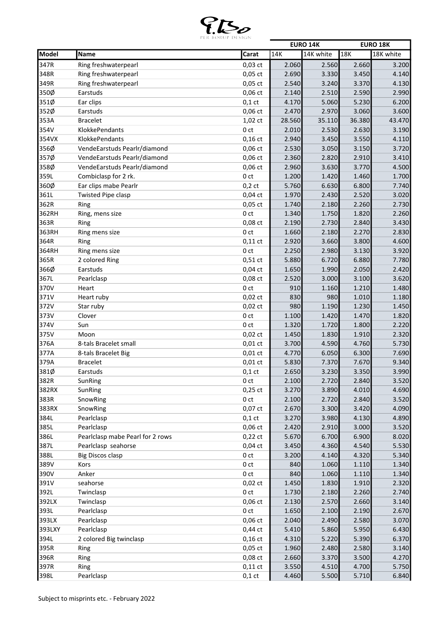

|        |                                  |                 |        | <b>EURO 14K</b> |        | <b>EURO 18K</b> |
|--------|----------------------------------|-----------------|--------|-----------------|--------|-----------------|
| Model  | Name                             | Carat           | 14K    | 14K white       | 18K    | 18K white       |
| 347R   | Ring freshwaterpearl             | $0,03$ ct       | 2.060  | 2.560           | 2.660  | 3.200           |
| 348R   | Ring freshwaterpearl             | $0,05$ ct       | 2.690  | 3.330           | 3.450  | 4.140           |
| 349R   | Ring freshwaterpearl             | $0,05$ ct       | 2.540  | 3.240           | 3.370  | 4.130           |
| 350Ø   | Earstuds                         | $0,06$ ct       | 2.140  | 2.510           | 2.590  | 2.990           |
| 351Ø   | Ear clips                        | $0,1$ ct        | 4.170  | 5.060           | 5.230  | 6.200           |
| 352Ø   | Earstuds                         | $0,06$ ct       | 2.470  | 2.970           | 3.060  | 3.600           |
| 353A   | <b>Bracelet</b>                  | $1,02$ ct       | 28.560 | 35.110          | 36.380 | 43.470          |
| 354V   | KlokkePendants                   | 0 <sub>ct</sub> | 2.010  | 2.530           | 2.630  | 3.190           |
| 354VX  | KlokkePendants                   | $0,16$ ct       | 2.940  | 3.450           | 3.550  | 4.110           |
| 356Ø   | VendeEarstuds Pearlr/diamond     | $0,06$ ct       | 2.530  | 3.050           | 3.150  | 3.720           |
| 357Ø   | VendeEarstuds Pearlr/diamond     | 0,06 ct         | 2.360  | 2.820           | 2.910  | 3.410           |
| 358Ø   | VendeEarstuds Pearlr/diamond     | 0,06 ct         | 2.960  | 3.630           | 3.770  | 4.500           |
| 359L   | Combiclasp for 2 rk.             | 0 <sub>ct</sub> | 1.200  | 1.420           | 1.460  | 1.700           |
| 360Ø   | Ear clips mabe Pearlr            | $0,2$ ct        | 5.760  | 6.630           | 6.800  | 7.740           |
| 361L   | <b>Twisted Pipe clasp</b>        | $0,04$ ct       | 1.970  | 2.430           | 2.520  | 3.020           |
| 362R   | Ring                             | $0,05$ ct       | 1.740  | 2.180           | 2.260  | 2.730           |
| 362RH  |                                  | 0 <sub>ct</sub> | 1.340  | 1.750           | 1.820  | 2.260           |
| 363R   | Ring, mens size<br>Ring          | $0,08$ ct       | 2.190  | 2.730           | 2.840  | 3.430           |
|        |                                  |                 | 1.660  |                 |        |                 |
| 363RH  | Ring mens size                   | 0 <sub>ct</sub> |        | 2.180           | 2.270  | 2.830           |
| 364R   | Ring                             | $0,11$ ct       | 2.920  | 3.660           | 3.800  | 4.600           |
| 364RH  | Ring mens size                   | 0 <sub>ct</sub> | 2.250  | 2.980           | 3.130  | 3.920           |
| 365R   | 2 colored Ring                   | $0,51$ ct       | 5.880  | 6.720           | 6.880  | 7.780           |
| 366Ø   | Earstuds                         | $0,04$ ct       | 1.650  | 1.990           | 2.050  | 2.420           |
| 367L   | Pearlclasp                       | $0,08$ ct       | 2.520  | 3.000           | 3.100  | 3.620           |
| 370V   | Heart                            | 0 <sub>ct</sub> | 910    | 1.160           | 1.210  | 1.480           |
| 371V   | Heart ruby                       | $0,02$ ct       | 830    | 980             | 1.010  | 1.180           |
| 372V   | Star ruby                        | $0,02$ ct       | 980    | 1.190           | 1.230  | 1.450           |
| 373V   | Clover                           | 0 <sub>ct</sub> | 1.100  | 1.420           | 1.470  | 1.820           |
| 374V   | Sun                              | 0 <sub>ct</sub> | 1.320  | 1.720           | 1.800  | 2.220           |
| 375V   | Moon                             | $0,02$ ct       | 1.450  | 1.830           | 1.910  | 2.320           |
| 376A   | 8-tals Bracelet small            | $0,01$ ct       | 3.700  | 4.590           | 4.760  | 5.730           |
| 377A   | 8-tals Bracelet Big              | $0,01$ ct       | 4.770  | 6.050           | 6.300  | 7.690           |
| 379A   | <b>Bracelet</b>                  | $0,01$ ct       | 5.830  | 7.370           | 7.670  | 9.340           |
| 381Ø   | Earstuds                         | $0,1$ ct        | 2.650  | 3.230           | 3.350  | 3.990           |
| 382R   | SunRing                          | 0 ct            | 2.100  | 2.720           | 2.840  | 3.520           |
| 382RX  | SunRing                          | $0,25$ ct       | 3.270  | 3.890           | 4.010  | 4.690           |
| 383R   | SnowRing                         | 0 ct            | 2.100  | 2.720           | 2.840  | 3.520           |
| 383RX  | SnowRing                         | $0,07$ ct       | 2.670  | 3.300           | 3.420  | 4.090           |
| 384L   | Pearlclasp                       | $0,1$ ct        | 3.270  | 3.980           | 4.130  | 4.890           |
| 385L   | Pearlclasp                       | 0,06 ct         | 2.420  | 2.910           | 3.000  | 3.520           |
| 386L   | Pearlclasp mabe Pearl for 2 rows | $0,22$ ct       | 5.670  | 6.700           | 6.900  | 8.020           |
| 387L   | Pearlclasp seahorse              | $0,04$ ct       | 3.450  | 4.360           | 4.540  | 5.530           |
| 388L   | <b>Big Discos clasp</b>          | 0 ct            | 3.200  | 4.140           | 4.320  | 5.340           |
| 389V   | Kors                             | 0 ct            | 840    | 1.060           | 1.110  | 1.340           |
| 390V   | Anker                            | 0 <sub>ct</sub> | 840    | 1.060           | 1.110  | 1.340           |
| 391V   | seahorse                         | $0,02$ ct       | 1.450  | 1.830           | 1.910  | 2.320           |
| 392L   | Twinclasp                        | 0 ct            | 1.730  | 2.180           | 2.260  | 2.740           |
| 392LX  | Twinclasp                        | $0,06$ ct       | 2.130  | 2.570           | 2.660  | 3.140           |
| 393L   | Pearlclasp                       | 0 ct            | 1.650  | 2.100           | 2.190  | 2.670           |
| 393LX  | Pearlclasp                       | 0,06 ct         | 2.040  | 2.490           | 2.580  | 3.070           |
| 393LXY | Pearlclasp                       | $0,44$ ct       | 5.410  | 5.860           | 5.950  | 6.430           |
| 394L   | 2 colored Big twinclasp          | $0,16$ ct       | 4.310  | 5.220           | 5.390  | 6.370           |
| 395R   | Ring                             | $0,05$ ct       | 1.960  | 2.480           | 2.580  | 3.140           |
| 396R   | Ring                             | 0,08 ct         | 2.660  | 3.370           | 3.500  | 4.270           |
| 397R   | Ring                             | $0,11$ ct       | 3.550  | 4.510           | 4.700  | 5.750           |
| 398L   | Pearlclasp                       | $0,1$ ct        | 4.460  | 5.500           | 5.710  | 6.840           |
|        |                                  |                 |        |                 |        |                 |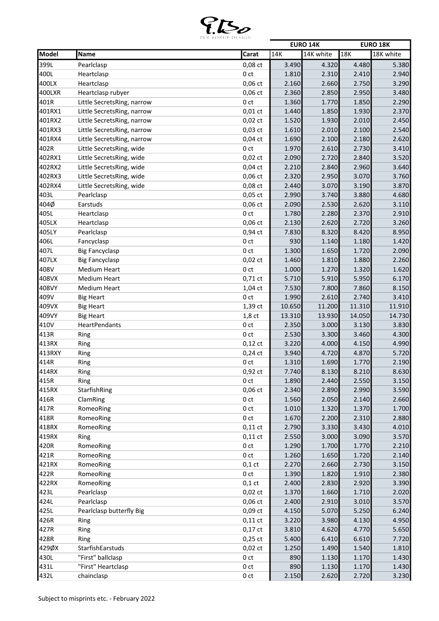

|        |                            |                     |        | <b>EURO 14K</b> |        | <b>EURO 18K</b> |
|--------|----------------------------|---------------------|--------|-----------------|--------|-----------------|
| Model  | Name                       | Carat               | 14K    | 14K white       | 18K    | 18K white       |
| 399L   | Pearlclasp                 | 0,08 ct             | 3.490  | 4.320           | 4.480  | 5.380           |
| 400L   | Heartclasp                 | 0 <sub>ct</sub>     | 1.810  | 2.310           | 2.410  | 2.940           |
| 400LX  | Heartclasp                 | 0,06 ct             | 2.160  | 2.660           | 2.750  | 3.290           |
| 400LXR | Heartclasp rubyer          | $0,06$ ct           | 2.360  | 2.850           | 2.950  | 3.480           |
| 401R   | Little SecretsRing, narrow | 0 <sub>ct</sub>     | 1.360  | 1.770           | 1.850  | 2.290           |
| 401RX1 | Little SecretsRing, narrow | $0,01$ ct           | 1.440  | 1.850           | 1.930  | 2.370           |
| 401RX2 | Little SecretsRing, narrow | $0,02$ ct           | 1.520  | 1.930           | 2.010  | 2.450           |
| 401RX3 | Little SecretsRing, narrow | $0,03$ ct           | 1.610  | 2.010           | 2.100  | 2.540           |
| 401RX4 | Little SecretsRing, narrow | $0,04$ ct           | 1.690  | 2.100           | 2.180  | 2.620           |
| 402R   | Little SecretsRing, wide   | 0 ct                | 1.970  | 2.610           | 2.730  | 3.410           |
| 402RX1 | Little SecretsRing, wide   | $0,02$ ct           | 2.090  | 2.720           | 2.840  | 3.520           |
| 402RX2 | Little SecretsRing, wide   | $0,04$ ct           | 2.210  | 2.840           | 2.960  | 3.640           |
| 402RX3 | Little SecretsRing, wide   | 0,06 ct             | 2.320  | 2.950           | 3.070  | 3.760           |
| 402RX4 | Little SecretsRing, wide   | 0,08 ct             | 2.440  | 3.070           | 3.190  | 3.870           |
| 403L   | Pearlclasp                 | $0,05$ ct           | 2.990  | 3.740           | 3.880  | 4.680           |
| 404Ø   | Earstuds                   | $0,06$ ct           | 2.090  | 2.530           | 2.620  | 3.110           |
| 405L   | Heartclasp                 | 0 <sub>ct</sub>     | 1.780  | 2.280           | 2.370  | 2.910           |
| 405LX  | Heartclasp                 | $0,06$ ct           | 2.130  | 2.620           | 2.720  | 3.260           |
| 405LY  | Pearlclasp                 | 0,94 ct             | 7.830  | 8.320           | 8.420  | 8.950           |
| 406L   | Fancyclasp                 | 0 ct                | 930    | 1.140           | 1.180  | 1.420           |
| 407L   | <b>Big Fancyclasp</b>      | 0 <sub>ct</sub>     | 1.300  | 1.650           | 1.720  | 2.090           |
| 407LX  | <b>Big Fancyclasp</b>      | $0,02$ ct           | 1.460  | 1.810           | 1.880  | 2.260           |
| 408V   | <b>Medium Heart</b>        | 0 <sub>ct</sub>     | 1.000  | 1.270           | 1.320  | 1.620           |
| 408VX  | <b>Medium Heart</b>        | $0,71\,\mathrm{ct}$ | 5.710  | 5.910           | 5.950  | 6.170           |
| 408VY  | <b>Medium Heart</b>        | 1,04 ct             | 7.530  | 7.800           | 7.860  | 8.150           |
| 409V   | <b>Big Heart</b>           | 0 <sub>ct</sub>     | 1.990  | 2.610           | 2.740  | 3.410           |
| 409VX  | <b>Big Heart</b>           | 1,39 ct             | 10.650 | 11.200          | 11.310 | 11.910          |
| 409VY  | <b>Big Heart</b>           | $1,8$ ct            | 13.310 | 13.930          | 14.050 | 14.730          |
| 410V   | HeartPendants              | 0 ct                | 2.350  | 3.000           | 3.130  | 3.830           |
| 413R   | Ring                       | 0 ct                | 2.530  | 3.300           | 3.460  | 4.300           |
| 413RX  | Ring                       | $0,12$ ct           | 3.220  | 4.000           | 4.150  | 4.990           |
| 413RXY | Ring                       | $0,24$ ct           | 3.940  | 4.720           | 4.870  | 5.720           |
| 414R   | Ring                       | 0 ct                | 1.310  | 1.690           | 1.770  | 2.190           |
| 414RX  | Ring                       | 0,92 ct             | 7.740  | 8.130           | 8.210  | 8.630           |
| 415R   | Ring                       | 0 ct                | 1.890  | 2.440           | 2.550  | 3.150           |
| 415RX  | StarfishRing               | $0,06$ ct           | 2.340  | 2.890           | 2.990  | 3.590           |
| 416R   | ClamRing                   | 0 ct                | 1.560  | 2.050           | 2.140  | 2.660           |
| 417R   | RomeoRing                  | 0 <sub>ct</sub>     | 1.010  | 1.320           | 1.370  | 1.700           |
| 418R   | RomeoRing                  | 0 <sub>ct</sub>     | 1.670  | 2.200           | 2.310  | 2.880           |
| 418RX  | RomeoRing                  | $0,11$ ct           | 2.790  | 3.330           | 3.430  | 4.010           |
| 419RX  | Ring                       | $0,11$ ct           | 2.550  | 3.000           | 3.090  | 3.570           |
| 420R   | RomeoRing                  | 0 ct                | 1.290  | 1.700           | 1.770  | 2.210           |
| 421R   | RomeoRing                  | 0 ct                | 1.260  | 1.650           | 1.720  | 2.140           |
| 421RX  | RomeoRing                  | $0,1$ ct            | 2.270  | 2.660           | 2.730  | 3.150           |
| 422R   | RomeoRing                  | 0 ct                | 1.390  | 1.820           | 1.910  | 2.380           |
| 422RX  | RomeoRing                  | $0,1$ ct            | 2.400  | 2.830           | 2.920  | 3.390           |
| 423L   | Pearlclasp                 | $0,02$ ct           | 1.370  | 1.660           | 1.710  | 2.020           |
| 424L   | Pearlclasp                 | $0,06$ ct           | 2.400  | 2.910           | 3.010  | 3.570           |
| 425L   | Pearlclasp butterfly Big   | $0,09$ ct           | 4.150  | 5.070           | 5.250  | 6.240           |
| 426R   | Ring                       | $0,11$ ct           | 3.220  | 3.980           | 4.130  | 4.950           |
| 427R   | Ring                       | $0,17$ ct           | 3.810  | 4.620           | 4.770  | 5.650           |
| 428R   | Ring                       | $0,25$ ct           | 5.400  | 6.410           | 6.610  | 7.720           |
| 429ØX  | StarfishEarstuds           | $0,02$ ct           | 1.250  | 1.490           | 1.540  | 1.810           |
| 430L   | "First" ballclasp          | 0 ct                | 890    | 1.130           | 1.170  | 1.430           |
| 431L   | "First" Heartclasp         | 0 <sub>ct</sub>     | 890    | 1.130           | 1.170  | 1.430           |
| 432L   | chainclasp                 | 0 ct                | 2.150  | 2.620           | 2.720  | 3.230           |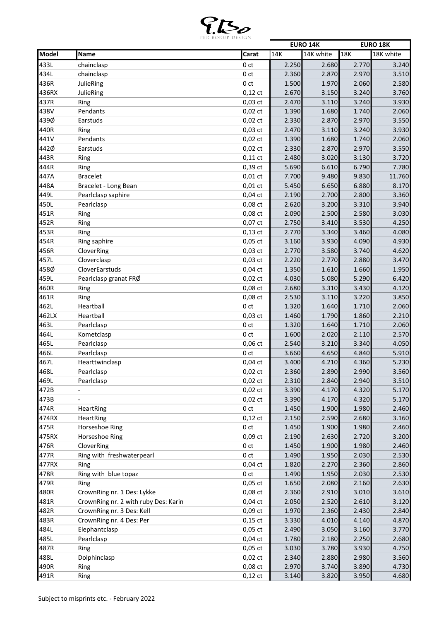

|              |                                      |                 |       | <b>EURO 14K</b> |       | <b>EURO 18K</b> |
|--------------|--------------------------------------|-----------------|-------|-----------------|-------|-----------------|
| Model        | Name                                 | Carat           | 14K   | 14K white       | 18K   | 18K white       |
| 433L         | chainclasp                           | 0 <sub>ct</sub> | 2.250 | 2.680           | 2.770 | 3.240           |
| 434L         | chainclasp                           | 0 <sub>ct</sub> | 2.360 | 2.870           | 2.970 | 3.510           |
| 436R         | JulieRing                            | 0 <sub>ct</sub> | 1.500 | 1.970           | 2.060 | 2.580           |
| 436RX        | JulieRing                            | $0,12$ ct       | 2.670 | 3.150           | 3.240 | 3.760           |
| 437R         | Ring                                 | $0,03$ ct       | 2.470 | 3.110           | 3.240 | 3.930           |
| 438V         | Pendants                             | $0,02$ ct       | 1.390 | 1.680           | 1.740 | 2.060           |
| 439Ø         | Earstuds                             | $0,02$ ct       | 2.330 | 2.870           | 2.970 | 3.550           |
| 440R         | Ring                                 | $0,03$ ct       | 2.470 | 3.110           | 3.240 | 3.930           |
| 441V         | Pendants                             | $0,02$ ct       | 1.390 | 1.680           | 1.740 | 2.060           |
| 442Ø         | Earstuds                             | $0,02$ ct       | 2.330 | 2.870           | 2.970 | 3.550           |
| 443R         | Ring                                 | $0,11$ ct       | 2.480 | 3.020           | 3.130 | 3.720           |
| 444R         | Ring                                 | 0,39 ct         | 5.690 | 6.610           | 6.790 | 7.780           |
| 447A         | <b>Bracelet</b>                      | $0,01$ ct       | 7.700 | 9.480           | 9.830 | 11.760          |
| 448A         | Bracelet - Long Bean                 | $0,01$ ct       | 5.450 | 6.650           | 6.880 | 8.170           |
| 449L         | Pearlclasp saphire                   | $0,04$ ct       | 2.190 | 2.700           | 2.800 | 3.360           |
| 450L         | Pearlclasp                           | 0,08 ct         | 2.620 | 3.200           | 3.310 | 3.940           |
| 451R         | Ring                                 | 0,08 ct         | 2.090 | 2.500           | 2.580 | 3.030           |
| 452R         | Ring                                 | 0,07 ct         | 2.750 | 3.410           | 3.530 | 4.250           |
| 453R         |                                      | $0,13$ ct       | 2.770 | 3.340           | 3.460 | 4.080           |
|              | Ring                                 | $0,05$ ct       |       |                 |       |                 |
| 454R<br>456R | Ring saphire                         |                 | 3.160 | 3.930           | 4.090 | 4.930           |
|              | CloverRing                           | $0,03$ ct       | 2.770 | 3.580           | 3.740 | 4.620           |
| 457L         | Cloverclasp                          | $0,03$ ct       | 2.220 | 2.770           | 2.880 | 3.470           |
| 458Ø         | CloverEarstuds                       | $0,04$ ct       | 1.350 | 1.610           | 1.660 | 1.950           |
| 459L         | Pearlclasp granat FRØ                | $0,02$ ct       | 4.030 | 5.080           | 5.290 | 6.420           |
| 460R         | Ring                                 | 0,08 ct         | 2.680 | 3.310           | 3.430 | 4.120           |
| 461R         | Ring                                 | $0,08$ $ct$     | 2.530 | 3.110           | 3.220 | 3.850           |
| 462L         | Heartball                            | 0 <sub>ct</sub> | 1.320 | 1.640           | 1.710 | 2.060           |
| 462LX        | Heartball                            | $0,03$ ct       | 1.460 | 1.790           | 1.860 | 2.210           |
| 463L         | Pearlclasp                           | 0 <sub>ct</sub> | 1.320 | 1.640           | 1.710 | 2.060           |
| 464L         | Kometclasp                           | 0 <sub>ct</sub> | 1.600 | 2.020           | 2.110 | 2.570           |
| 465L         | Pearlclasp                           | 0,06 ct         | 2.540 | 3.210           | 3.340 | 4.050           |
| 466L         | Pearlclasp                           | 0 <sub>ct</sub> | 3.660 | 4.650           | 4.840 | 5.910           |
| 467L         | Hearttwinclasp                       | $0,04$ ct       | 3.400 | 4.210           | 4.360 | 5.230           |
| 468L         | Pearlclasp                           | $0,02$ ct       | 2.360 | 2.890           | 2.990 | 3.560           |
| 469L         | Pearlclasp                           | $0,02$ ct       | 2.310 | 2.840           | 2.940 | 3.510           |
| 472B         |                                      | $0,02$ ct       | 3.390 | 4.170           | 4.320 | 5.170           |
| 473B         |                                      | $0,02$ ct       | 3.390 | 4.170           | 4.320 | 5.170           |
| 474R         | HeartRing                            | 0 ct            | 1.450 | 1.900           | 1.980 | 2.460           |
| 474RX        | HeartRing                            | $0,12$ ct       | 2.150 | 2.590           | 2.680 | 3.160           |
| 475R         | Horseshoe Ring                       | 0 ct            | 1.450 | 1.900           | 1.980 | 2.460           |
| 475RX        | Horseshoe Ring                       | $0,09$ ct       | 2.190 | 2.630           | 2.720 | 3.200           |
| 476R         | CloverRing                           | 0 ct            | 1.450 | 1.900           | 1.980 | 2.460           |
| 477R         | Ring with freshwaterpearl            | 0 ct            | 1.490 | 1.950           | 2.030 | 2.530           |
| 477RX        | Ring                                 | $0,04$ ct       | 1.820 | 2.270           | 2.360 | 2.860           |
| 478R         | Ring with blue topaz                 | 0 ct            | 1.490 | 1.950           | 2.030 | 2.530           |
| 479R         | Ring                                 | $0,05$ ct       | 1.650 | 2.080           | 2.160 | 2.630           |
| 480R         | CrownRing nr. 1 Des: Lykke           | $0,08$ ct       | 2.360 | 2.910           | 3.010 | 3.610           |
| 481R         | CrownRing nr. 2 with ruby Des: Karin | $0,04$ ct       | 2.050 | 2.520           | 2.610 | 3.120           |
| 482R         | CrownRing nr. 3 Des: Kell            | $0,09$ ct       | 1.970 | 2.360           | 2.430 | 2.840           |
| 483R         | CrownRing nr. 4 Des: Per             | $0,15$ ct       | 3.330 | 4.010           | 4.140 | 4.870           |
| 484L         | Elephantclasp                        | $0,05$ ct       | 2.490 | 3.050           | 3.160 | 3.770           |
| 485L         | Pearlclasp                           | $0,04$ ct       | 1.780 | 2.180           | 2.250 | 2.680           |
| 487R         | Ring                                 | $0,05$ ct       | 3.030 | 3.780           | 3.930 | 4.750           |
| 488L         | Dolphinclasp                         | $0,02$ ct       | 2.340 | 2.880           | 2.980 | 3.560           |
| 490R         | Ring                                 | 0,08 ct         | 2.970 | 3.740           | 3.890 | 4.730           |
|              |                                      |                 |       |                 |       |                 |
| 491R         | Ring                                 | $0,12$ ct       | 3.140 | 3.820           | 3.950 | 4.680           |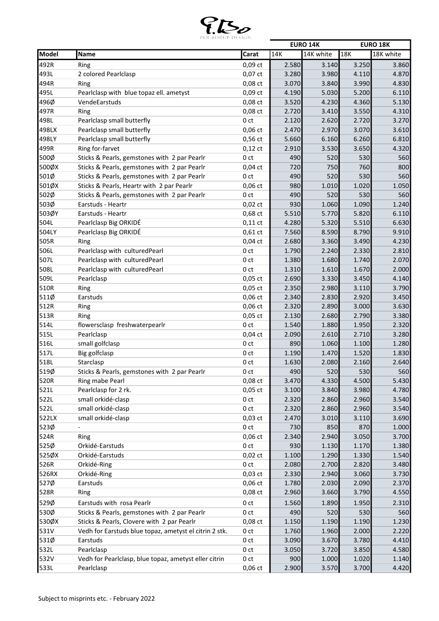

|       |                                                        |                 |       | <b>EURO 14K</b> |       | <b>EURO 18K</b> |
|-------|--------------------------------------------------------|-----------------|-------|-----------------|-------|-----------------|
| Model | Name                                                   | Carat           | 14K   | 14K white       | 18K   | 18K white       |
| 492R  | Ring                                                   | $0,09$ ct       | 2.580 | 3.140           | 3.250 | 3.860           |
| 493L  | 2 colored Pearlclasp                                   | $0,07$ ct       | 3.280 | 3.980           | 4.110 | 4.870           |
| 494R  | Ring                                                   | $0,08$ ct       | 3.070 | 3.840           | 3.990 | 4.830           |
| 495L  | Pearlclasp with blue topaz ell. ametyst                | $0,09$ ct       | 4.190 | 5.030           | 5.200 | 6.110           |
| 496Ø  | VendeEarstuds                                          | 0,08 ct         | 3.520 | 4.230           | 4.360 | 5.130           |
| 497R  | Ring                                                   | 0,08 ct         | 2.720 | 3.410           | 3.550 | 4.310           |
| 498L  | Pearlclasp small butterfly                             | 0 <sub>ct</sub> | 2.120 | 2.620           | 2.720 | 3.270           |
| 498LX | Pearlclasp small butterfly                             | $0,06$ ct       | 2.470 | 2.970           | 3.070 | 3.610           |
| 498LY | Pearlclasp small butterfly                             | $0,56$ ct       | 5.660 | 6.160           | 6.260 | 6.810           |
| 499R  | Ring for-farvet                                        | $0,12$ ct       | 2.910 | 3.530           | 3.650 | 4.320           |
| 500Ø  | Sticks & Pearls, gemstones with 2 par Pearlr           | 0 <sub>ct</sub> | 490   | 520             | 530   | 560             |
| 500ØX | Sticks & Pearls, gemstones with 2 par Pearlr           | $0,04$ ct       | 720   | 750             | 760   | 800             |
| 501Ø  | Sticks & Pearls, gemstones with 2 par Pearlr           | 0 ct            | 490   | 520             | 530   | 560             |
| 501ØX | Sticks & Pearls, Heartr with 2 par Pearlr              | $0,06$ ct       | 980   | 1.010           | 1.020 | 1.050           |
| 502Ø  | Sticks & Pearls, gemstones with 2 par Pearlr           | 0 <sub>ct</sub> | 490   | 520             | 530   | 560             |
| 503Ø  | Earstuds - Heartr                                      | $0,02$ ct       | 930   | 1.060           | 1.090 | 1.240           |
| 503ØY | Earstuds - Heartr                                      | 0,68 ct         | 5.510 | 5.770           | 5.820 | 6.110           |
| 504L  | Pearlclasp Big ORKIDÉ                                  | $0,11$ ct       | 4.280 | 5.320           | 5.510 | 6.630           |
| 504LY | Pearlclasp Big ORKIDÉ                                  | $0,61$ ct       | 7.560 | 8.590           | 8.790 | 9.910           |
| 505R  | Ring                                                   | $0,04$ ct       | 2.680 | 3.360           | 3.490 | 4.230           |
| 506L  | Pearlclasp with culturedPearl                          | 0 <sub>ct</sub> | 1.790 | 2.240           | 2.330 | 2.810           |
| 507L  | Pearlclasp with culturedPearl                          | 0 <sub>ct</sub> | 1.380 | 1.680           | 1.740 | 2.070           |
| 508L  | Pearlclasp with culturedPearl                          | 0 <sub>ct</sub> | 1.310 | 1.610           | 1.670 | 2.000           |
| 509L  | Pearlclasp                                             | $0,05$ ct       | 2.690 | 3.330           | 3.450 | 4.140           |
| 510R  | Ring                                                   | $0,05$ ct       | 2.350 | 2.980           | 3.110 | 3.790           |
| 511Ø  | Earstuds                                               | $0,06$ ct       | 2.340 | 2.830           | 2.920 | 3.450           |
| 512R  | Ring                                                   | $0,06$ ct       | 2.320 | 2.890           | 3.000 | 3.630           |
| 513R  | Ring                                                   | $0,05$ ct       | 2.130 | 2.680           | 2.790 | 3.380           |
| 514L  | flowersclasp freshwaterpearlr                          | 0 <sub>ct</sub> | 1.540 | 1.880           | 1.950 | 2.320           |
| 515L  | Pearlclasp                                             | $0,04$ ct       | 2.090 | 2.610           | 2.710 | 3.280           |
| 516L  | small golfclasp                                        | 0 ct            | 890   | 1.060           | 1.100 | 1.280           |
| 517L  | Big golfclasp                                          | 0 ct            | 1.190 | 1.470           | 1.520 | 1.830           |
| 518L  | Starclasp                                              | 0 ct            | 1.630 | 2.080           | 2.160 | 2.640           |
| 519Ø  | Sticks & Pearls, gemstones with 2 par Pearlr           | 0 <sub>ct</sub> | 490   | 520             | 530   | 560             |
| 520R  | Ring mabe Pearl                                        | $0,08$ ct       | 3.470 | 4.330           | 4.500 | 5.430           |
| 521L  | Pearlclasp for 2 rk.                                   | $0,05$ ct       | 3.100 | 3.840           | 3.980 | 4.780           |
| 522L  | small orkidé-clasp                                     | 0 ct            | 2.320 | 2.860           | 2.960 | 3.540           |
| 522L  | small orkidé-clasp                                     | 0 ct            | 2.320 | 2.860           | 2.960 | 3.540           |
| 522LX | small orkidé-clasp                                     | $0,03$ ct       | 2.470 | 3.010           | 3.110 | 3.690           |
| 523Ø  |                                                        | 0 ct            | 730   | 850             | 870   | 1.000           |
| 524R  | Ring                                                   | $0,06$ ct       | 2.340 | 2.940           | 3.050 | 3.700           |
| 525Ø  | Orkidé-Earstuds                                        | 0 <sub>ct</sub> | 930   | 1.130           | 1.170 | 1.380           |
| 525ØX | Orkidé-Earstuds                                        | $0,02$ ct       | 1.100 | 1.290           | 1.330 | 1.540           |
| 526R  | Orkidé-Ring                                            | 0 ct            | 2.080 | 2.700           | 2.820 | 3.480           |
| 526RX | Orkidé-Ring                                            | $0,03$ ct       | 2.330 | 2.940           | 3.060 | 3.730           |
| 527Ø  | Earstuds                                               | $0,06$ ct       | 1.780 | 2.030           | 2.090 | 2.370           |
| 528R  | Ring                                                   | $0,08$ ct       | 2.960 | 3.660           | 3.790 | 4.550           |
| 529Ø  | Earstuds with rosa Pearlr                              | 0 ct            | 1.560 | 1.890           | 1.950 | 2.310           |
| 530Ø  | Sticks & Pearls, gemstones with 2 par Pearlr           | 0 <sub>ct</sub> | 490   | 520             | 530   | 560             |
| 530ØX | Sticks & Pearls, Clovere with 2 par Pearlr             | 0,08 ct         | 1.150 | 1.190           | 1.190 | 1.230           |
| 531V  | Vedh for Earstuds blue topaz, ametyst el citrin 2 stk. | 0 ct            | 1.760 | 1.960           | 2.000 | 2.220           |
| 531Ø  | Earstuds                                               | 0 <sub>ct</sub> | 3.090 | 3.670           | 3.780 | 4.410           |
| 532L  | Pearlclasp                                             | 0 ct            | 3.050 | 3.720           | 3.850 | 4.580           |
| 532V  | Vedh for Pearlclasp, blue topaz, ametyst eller citrin  | 0 ct            | 900   | 1.000           | 1.020 | 1.140           |
| 533L  | Pearlclasp                                             | 0,06 ct         | 2.900 | 3.570           | 3.700 | 4.420           |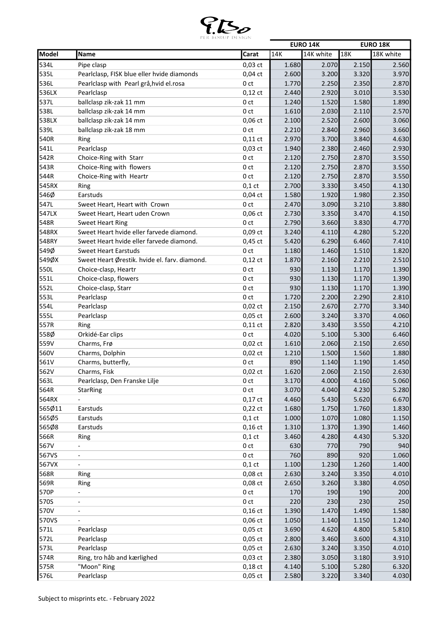

|        |                                               |                 |       | <b>EURO 14K</b> |       | <b>EURO 18K</b> |
|--------|-----------------------------------------------|-----------------|-------|-----------------|-------|-----------------|
| Model  | Name                                          | Carat           | 14K   | 14K white       | 18K   | 18K white       |
| 534L   | Pipe clasp                                    | $0,03$ ct       | 1.680 | 2.070           | 2.150 | 2.560           |
| 535L   | Pearlclasp, FISK blue eller hvide diamonds    | $0,04$ ct       | 2.600 | 3.200           | 3.320 | 3.970           |
| 536L   | Pearlclasp with Pearl grå, hvid el.rosa       | 0 <sub>ct</sub> | 1.770 | 2.250           | 2.350 | 2.870           |
| 536LX  | Pearlclasp                                    | $0,12$ ct       | 2.440 | 2.920           | 3.010 | 3.530           |
| 537L   | ballclasp zik-zak 11 mm                       | 0 <sub>ct</sub> | 1.240 | 1.520           | 1.580 | 1.890           |
| 538L   | ballclasp zik-zak 14 mm                       | 0 <sub>ct</sub> | 1.610 | 2.030           | 2.110 | 2.570           |
| 538LX  | ballclasp zik-zak 14 mm                       | $0,06$ ct       | 2.100 | 2.520           | 2.600 | 3.060           |
| 539L   | ballclasp zik-zak 18 mm                       | 0 ct            | 2.210 | 2.840           | 2.960 | 3.660           |
| 540R   | Ring                                          | $0,11$ ct       | 2.970 | 3.700           | 3.840 | 4.630           |
| 541L   | Pearlclasp                                    | $0,03$ ct       | 1.940 | 2.380           | 2.460 | 2.930           |
| 542R   | Choice-Ring with Starr                        | 0 <sub>ct</sub> | 2.120 | 2.750           | 2.870 | 3.550           |
| 543R   | Choice-Ring with flowers                      | 0 <sub>ct</sub> | 2.120 | 2.750           | 2.870 | 3.550           |
| 544R   | Choice-Ring with Heartr                       | 0 <sub>ct</sub> | 2.120 | 2.750           | 2.870 | 3.550           |
| 545RX  | Ring                                          | $0,1$ ct        | 2.700 | 3.330           | 3.450 | 4.130           |
| 546Ø   | Earstuds                                      | $0,04$ ct       | 1.580 | 1.920           | 1.980 | 2.350           |
| 547L   | Sweet Heart, Heart with Crown                 | 0 <sub>ct</sub> | 2.470 | 3.090           | 3.210 | 3.880           |
| 547LX  | Sweet Heart, Heart uden Crown                 | $0,06$ ct       | 2.730 | 3.350           | 3.470 | 4.150           |
| 548R   | <b>Sweet Heart Ring</b>                       | 0 ct            | 2.790 | 3.660           | 3.830 | 4.770           |
| 548RX  | Sweet Heart hvide eller farvede diamond.      | $0,09$ ct       | 3.240 | 4.110           | 4.280 | 5.220           |
| 548RY  | Sweet Heart hvide eller farvede diamond.      | $0,45$ ct       | 5.420 | 6.290           | 6.460 | 7.410           |
| 549Ø   | <b>Sweet Heart Earstuds</b>                   | 0 <sub>ct</sub> | 1.180 | 1.460           | 1.510 | 1.820           |
| 549ØX  | Sweet Heart Ørestik. hvide el. farv. diamond. | $0,12$ ct       | 1.870 | 2.160           | 2.210 | 2.510           |
| 550L   | Choice-clasp, Heartr                          | 0 <sub>ct</sub> | 930   | 1.130           | 1.170 | 1.390           |
| 551L   | Choice-clasp, flowers                         | 0 <sub>ct</sub> | 930   | 1.130           | 1.170 | 1.390           |
| 552L   | Choice-clasp, Starr                           | 0 <sub>ct</sub> | 930   | 1.130           | 1.170 | 1.390           |
| 553L   | Pearlclasp                                    | 0 <sub>ct</sub> | 1.720 | 2.200           | 2.290 | 2.810           |
| 554L   | Pearlclasp                                    | $0,02$ ct       | 2.150 | 2.670           | 2.770 | 3.340           |
| 555L   | Pearlclasp                                    | $0,05$ ct       | 2.600 | 3.240           | 3.370 | 4.060           |
| 557R   | Ring                                          | $0,11$ ct       | 2.820 | 3.430           | 3.550 | 4.210           |
| 558Ø   | Orkidé-Ear clips                              | 0 ct            | 4.020 | 5.100           | 5.300 | 6.460           |
| 559V   | Charms, Frø                                   | $0,02$ ct       | 1.610 | 2.060           | 2.150 | 2.650           |
| 560V   | Charms, Dolphin                               | $0,02$ ct       | 1.210 | 1.500           | 1.560 | 1.880           |
| 561V   | Charms, butterfly,                            | 0 ct            | 890   | 1.140           | 1.190 | 1.450           |
| 562V   | Charms, Fisk                                  | $0,02$ ct       | 1.620 | 2.060           | 2.150 | 2.630           |
| 563L   | Pearlclasp, Den Franske Lilje                 | 0 ct            | 3.170 | 4.000           | 4.160 | 5.060           |
| 564R   | <b>StarRing</b>                               | 0 <sub>ct</sub> | 3.070 | 4.040           | 4.230 | 5.280           |
| 564RX  |                                               | $0,17$ ct       | 4.460 | 5.430           | 5.620 | 6.670           |
| 565Ø11 | Earstuds                                      | $0,22$ ct       | 1.680 | 1.750           | 1.760 | 1.830           |
| 565Ø5  | Earstuds                                      | $0,1$ ct        | 1.000 | 1.070           | 1.080 | 1.150           |
| 565Ø8  | Earstuds                                      | $0,16$ ct       | 1.310 | 1.370           | 1.390 | 1.460           |
| 566R   | Ring                                          | $0,1$ ct        | 3.460 | 4.280           | 4.430 | 5.320           |
| 567V   | $\overline{\phantom{a}}$                      | 0 <sub>ct</sub> | 630   | 770             | 790   | 940             |
| 567VS  | $\overline{\phantom{a}}$                      | 0 ct            | 760   | 890             | 920   | 1.060           |
| 567VX  | $\overline{\phantom{a}}$                      | $0,1$ ct        | 1.100 | 1.230           | 1.260 | 1.400           |
| 568R   | Ring                                          | 0,08 ct         | 2.630 | 3.240           | 3.350 | 4.010           |
| 569R   | Ring                                          | $0,08$ ct       | 2.650 | 3.260           | 3.380 | 4.050           |
| 570P   |                                               | 0 ct            | 170   | 190             | 190   | 200             |
| 570S   | $\overline{\phantom{a}}$                      | 0 ct            | 220   | 230             | 230   | 250             |
| 570V   |                                               | $0,16$ ct       | 1.390 | 1.470           | 1.490 | 1.580           |
| 570VS  |                                               | 0,06 ct         | 1.050 | 1.140           | 1.150 | 1.240           |
| 571L   | Pearlclasp                                    | $0,05$ ct       | 3.690 | 4.620           | 4.800 | 5.810           |
| 572L   | Pearlclasp                                    | $0,05$ ct       | 2.800 | 3.460           | 3.600 | 4.310           |
| 573L   | Pearlclasp                                    | $0,05$ ct       | 2.630 | 3.240           | 3.350 | 4.010           |
| 574R   | Ring, tro håb and kærlighed                   | 0,03 ct         | 2.380 | 3.050           | 3.180 | 3.910           |
| 575R   | "Moon" Ring                                   | $0,18$ ct       | 4.140 | 5.100           | 5.280 | 6.320           |
| 576L   | Pearlclasp                                    | $0,05$ ct       | 2.580 | 3.220           | 3.340 | 4.030           |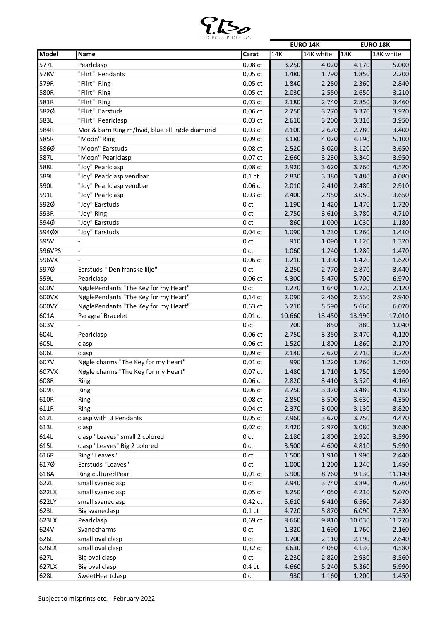

|        |                                                |                 |        | <b>EURO 14K</b> |        | <b>EURO 18K</b> |
|--------|------------------------------------------------|-----------------|--------|-----------------|--------|-----------------|
| Model  | Name                                           | Carat           | 14K    | 14K white       | 18K    | 18K white       |
| 577L   | Pearlclasp                                     | $0,08$ ct       | 3.250  | 4.020           | 4.170  | 5.000           |
| 578V   | "Flirt" Pendants                               | $0,05$ ct       | 1.480  | 1.790           | 1.850  | 2.200           |
| 579R   | "Flirt" Ring                                   | $0,05$ ct       | 1.840  | 2.280           | 2.360  | 2.840           |
| 580R   | "Flirt" Ring                                   | $0,05$ ct       | 2.030  | 2.550           | 2.650  | 3.210           |
| 581R   | "Flirt" Ring                                   | $0,03$ ct       | 2.180  | 2.740           | 2.850  | 3.460           |
| 582Ø   | "Flirt" Earstuds                               | 0,06 ct         | 2.750  | 3.270           | 3.370  | 3.920           |
| 583L   | "Flirt" Pearlclasp                             | $0,03$ ct       | 2.610  | 3.200           | 3.310  | 3.950           |
| 584R   | Mor & barn Ring m/hvid, blue ell. røde diamond | 0,03 ct         | 2.100  | 2.670           | 2.780  | 3.400           |
| 585R   | "Moon" Ring                                    | 0,09 ct         | 3.180  | 4.020           | 4.190  | 5.100           |
| 586Ø   | "Moon" Earstuds                                | $0,08$ ct       | 2.520  | 3.020           | 3.120  | 3.650           |
| 587L   | "Moon" Pearlclasp                              | 0,07 ct         | 2.660  | 3.230           | 3.340  | 3.950           |
| 588L   | "Joy" Pearlclasp                               | 0,08 ct         | 2.920  | 3.620           | 3.760  | 4.520           |
| 589L   | "Joy" Pearlclasp vendbar                       | $0,1$ ct        | 2.830  | 3.380           | 3.480  | 4.080           |
| 590L   |                                                | $0,06$ ct       |        |                 |        | 2.910           |
|        | "Joy" Pearlclasp vendbar                       |                 | 2.010  | 2.410           | 2.480  |                 |
| 591L   | "Joy" Pearlclasp                               | 0,03 ct         | 2.400  | 2.950           | 3.050  | 3.650           |
| 592Ø   | "Joy" Earstuds                                 | 0 <sub>ct</sub> | 1.190  | 1.420           | 1.470  | 1.720           |
| 593R   | "Joy" Ring                                     | 0 <sub>ct</sub> | 2.750  | 3.610           | 3.780  | 4.710           |
| 594Ø   | "Joy" Earstuds                                 | 0 <sub>ct</sub> | 860    | 1.000           | 1.030  | 1.180           |
| 594ØX  | "Joy" Earstuds                                 | $0,04$ ct       | 1.090  | 1.230           | 1.260  | 1.410           |
| 595V   |                                                | 0 <sub>ct</sub> | 910    | 1.090           | 1.120  | 1.320           |
| 596VPS |                                                | 0 <sub>ct</sub> | 1.060  | 1.240           | 1.280  | 1.470           |
| 596VX  |                                                | $0,06$ ct       | 1.210  | 1.390           | 1.420  | 1.620           |
| 597Ø   | Earstuds " Den franske lilje"                  | 0 <sub>ct</sub> | 2.250  | 2.770           | 2.870  | 3.440           |
| 599L   | Pearlclasp                                     | $0,06$ ct       | 4.300  | 5.470           | 5.700  | 6.970           |
| 600V   | NøglePendants "The Key for my Heart"           | 0 <sub>ct</sub> | 1.270  | 1.640           | 1.720  | 2.120           |
| 600VX  | NøglePendants "The Key for my Heart"           | $0,14$ ct       | 2.090  | 2.460           | 2.530  | 2.940           |
| 600VY  | NøglePendants "The Key for my Heart"           | $0,63$ ct       | 5.210  | 5.590           | 5.660  | 6.070           |
| 601A   | Paragraf Bracelet                              | $0,01$ ct       | 10.660 | 13.450          | 13.990 | 17.010          |
| 603V   |                                                | 0 <sub>ct</sub> | 700    | 850             | 880    | 1.040           |
| 604L   | Pearlclasp                                     | $0,06$ ct       | 2.750  | 3.350           | 3.470  | 4.120           |
| 605L   | clasp                                          | 0,06 ct         | 1.520  | 1.800           | 1.860  | 2.170           |
| 606L   | clasp                                          | 0,09 ct         | 2.140  | 2.620           | 2.710  | 3.220           |
| 607V   | Nøgle charms "The Key for my Heart"            | $0,01$ ct       | 990    | 1.220           | 1.260  | 1.500           |
| 607VX  | Nøgle charms "The Key for my Heart"            | 0,07 ct         | 1.480  | 1.710           | 1.750  | 1.990           |
| 608R   | Ring                                           | $0,06$ ct       | 2.820  | 3.410           | 3.520  | 4.160           |
| 609R   | Ring                                           | 0,06 ct         | 2.750  | 3.370           | 3.480  | 4.150           |
| 610R   | Ring                                           | 0,08 ct         | 2.850  | 3.500           | 3.630  | 4.350           |
| 611R   | Ring                                           | $0,04$ ct       | 2.370  | 3.000           | 3.130  | 3.820           |
| 612L   | clasp with 3 Pendants                          | $0,05$ ct       | 2.960  | 3.620           | 3.750  | 4.470           |
| 613L   | clasp                                          | $0,02$ ct       | 2.420  | 2.970           | 3.080  | 3.680           |
| 614L   | clasp "Leaves" small 2 colored                 | 0 <sub>ct</sub> | 2.180  | 2.800           | 2.920  | 3.590           |
| 615L   | clasp "Leaves" Big 2 colored                   | 0ct             | 3.500  | 4.600           | 4.810  | 5.990           |
| 616R   | Ring "Leaves"                                  | 0ct             | 1.500  | 1.910           | 1.990  | 2.440           |
| 617Ø   | Earstuds "Leaves"                              | 0 ct            | 1.000  | 1.200           | 1.240  | 1.450           |
| 618A   | Ring culturedPearl                             | $0,01$ ct       | 6.900  | 8.760           | 9.130  | 11.140          |
| 622L   | small svaneclasp                               | 0 ct            | 2.940  | 3.740           | 3.890  | 4.760           |
| 622LX  | small svaneclasp                               | $0,05$ ct       | 3.250  | 4.050           | 4.210  | 5.070           |
| 622LY  | small svaneclasp                               | $0,42$ ct       | 5.610  | 6.410           | 6.560  | 7.430           |
| 623L   | Big svaneclasp                                 | $0,1$ ct        | 4.720  | 5.870           | 6.090  | 7.330           |
| 623LX  | Pearlclasp                                     | 0,69 ct         | 8.660  | 9.810           | 10.030 | 11.270          |
| 624V   | Svanecharms                                    | 0 ct            | 1.320  | 1.690           | 1.760  | 2.160           |
| 626L   | small oval clasp                               | 0 <sub>ct</sub> | 1.700  | 2.110           | 2.190  | 2.640           |
| 626LX  | small oval clasp                               |                 |        |                 |        |                 |
|        |                                                | $0,32$ ct       | 3.630  | 4.050           | 4.130  | 4.580           |
| 627L   | Big oval clasp                                 | 0 ct            | 2.230  | 2.820           | 2.930  | 3.560           |
| 627LX  | Big oval clasp                                 | $0,4$ ct        | 4.660  | 5.240           | 5.360  | 5.990           |
| 628L   | SweetHeartclasp                                | 0 ct            | 930    | 1.160           | 1.200  | 1.450           |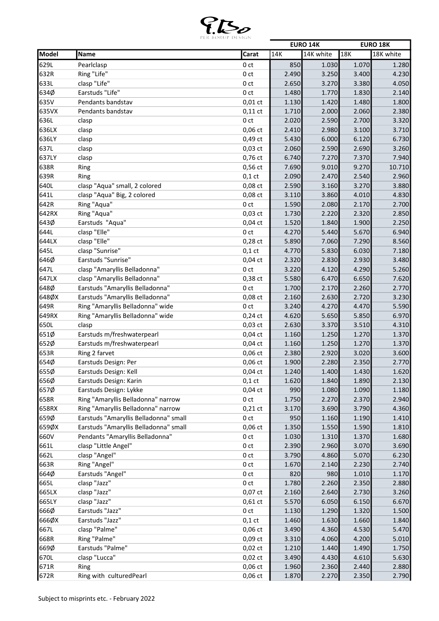

|       |                                       |                 |       | <b>EURO 14K</b> |       | <b>EURO 18K</b> |
|-------|---------------------------------------|-----------------|-------|-----------------|-------|-----------------|
| Model | Name                                  | Carat           | 14K   | 14K white       | 18K   | 18K white       |
| 629L  | Pearlclasp                            | 0 <sub>ct</sub> | 850   | 1.030           | 1.070 | 1.280           |
| 632R  | Ring "Life"                           | 0 <sub>ct</sub> | 2.490 | 3.250           | 3.400 | 4.230           |
| 633L  | clasp "Life"                          | 0 <sub>ct</sub> | 2.650 | 3.270           | 3.380 | 4.050           |
| 634Ø  | Earstuds "Life"                       | 0 <sub>ct</sub> | 1.480 | 1.770           | 1.830 | 2.140           |
| 635V  | Pendants bandstav                     | $0,01$ ct       | 1.130 | 1.420           | 1.480 | 1.800           |
| 635VX | Pendants bandstav                     | $0,11$ ct       | 1.710 | 2.000           | 2.060 | 2.380           |
| 636L  | clasp                                 | 0 <sub>ct</sub> | 2.020 | 2.590           | 2.700 | 3.320           |
| 636LX | clasp                                 | $0,06$ ct       | 2.410 | 2.980           | 3.100 | 3.710           |
| 636LY | clasp                                 | 0,49 ct         | 5.430 | 6.000           | 6.120 | 6.730           |
| 637L  | clasp                                 | $0,03$ ct       | 2.060 | 2.590           | 2.690 | 3.260           |
| 637LY | clasp                                 | 0,76 ct         | 6.740 | 7.270           | 7.370 | 7.940           |
| 638R  | Ring                                  | 0,56 ct         | 7.690 | 9.010           | 9.270 | 10.710          |
| 639R  | Ring                                  | $0,1$ ct        | 2.090 | 2.470           | 2.540 | 2.960           |
| 640L  | clasp "Aqua" small, 2 colored         | 0,08 ct         | 2.590 | 3.160           | 3.270 | 3.880           |
| 641L  | clasp "Aqua" Big, 2 colored           | 0,08 ct         | 3.110 | 3.860           | 4.010 | 4.830           |
| 642R  | Ring "Aqua"                           | 0 <sub>ct</sub> | 1.590 | 2.080           | 2.170 | 2.700           |
| 642RX | Ring "Aqua"                           | $0,03$ ct       | 1.730 | 2.220           | 2.320 | 2.850           |
| 643Ø  | Earstuds "Aqua"                       | $0,04$ ct       | 1.520 | 1.840           | 1.900 | 2.250           |
|       |                                       |                 |       |                 |       |                 |
| 644L  | clasp "Elle"                          | 0 <sub>ct</sub> | 4.270 | 5.440           | 5.670 | 6.940           |
| 644LX | clasp "Elle"                          | $0,28$ ct       | 5.890 | 7.060           | 7.290 | 8.560           |
| 645L  | clasp "Sunrise"                       | $0,1$ ct        | 4.770 | 5.830           | 6.030 | 7.180           |
| 646Ø  | Earstuds "Sunrise"                    | $0,04$ ct       | 2.320 | 2.830           | 2.930 | 3.480           |
| 647L  | clasp "Amaryllis Belladonna"          | 0 <sub>ct</sub> | 3.220 | 4.120           | 4.290 | 5.260           |
| 647LX | clasp "Amaryllis Belladonna"          | 0,38 ct         | 5.580 | 6.470           | 6.650 | 7.620           |
| 648Ø  | Earstuds "Amaryllis Belladonna"       | 0 <sub>ct</sub> | 1.700 | 2.170           | 2.260 | 2.770           |
| 648ØX | Earstuds "Amaryllis Belladonna"       | 0,08 ct         | 2.160 | 2.630           | 2.720 | 3.230           |
| 649R  | Ring "Amaryllis Belladonna" wide      | 0 <sub>ct</sub> | 3.240 | 4.270           | 4.470 | 5.590           |
| 649RX | Ring "Amaryllis Belladonna" wide      | $0,24$ ct       | 4.620 | 5.650           | 5.850 | 6.970           |
| 650L  | clasp                                 | $0,03$ ct       | 2.630 | 3.370           | 3.510 | 4.310           |
| 651Ø  | Earstuds m/freshwaterpearl            | $0,04$ ct       | 1.160 | 1.250           | 1.270 | 1.370           |
| 652Ø  | Earstuds m/freshwaterpearl            | $0,04$ ct       | 1.160 | 1.250           | 1.270 | 1.370           |
| 653R  | Ring 2 farvet                         | $0,06$ ct       | 2.380 | 2.920           | 3.020 | 3.600           |
| 654Ø  | Earstuds Design: Per                  | $0,06$ ct       | 1.900 | 2.280           | 2.350 | 2.770           |
| 655Ø  | Earstuds Design: Kell                 | 0,04 ct         | 1.240 | 1.400           | 1.430 | 1.620           |
| 656Ø  | Earstuds Design: Karin                | $0,1$ ct        | 1.620 | 1.840           | 1.890 | 2.130           |
| 657Ø  | Earstuds Design: Lykke                | $0,04$ ct       | 990   | 1.080           | 1.090 | 1.180           |
| 658R  | Ring "Amaryllis Belladonna" narrow    | 0 ct            | 1.750 | 2.270           | 2.370 | 2.940           |
| 658RX | Ring "Amaryllis Belladonna" narrow    | $0,21$ ct       | 3.170 | 3.690           | 3.790 | 4.360           |
| 659Ø  | Earstuds "Amaryllis Belladonna" small | 0 ct            | 950   | 1.160           | 1.190 | 1.410           |
| 659ØX | Earstuds "Amaryllis Belladonna" small | 0,06 ct         | 1.350 | 1.550           | 1.590 | 1.810           |
| 660V  | Pendants "Amaryllis Belladonna"       | 0 <sub>ct</sub> | 1.030 | 1.310           | 1.370 | 1.680           |
| 661L  | clasp "Little Angel"                  | 0 ct            | 2.390 | 2.960           | 3.070 | 3.690           |
| 662L  | clasp "Angel"                         | 0 ct            | 3.790 | 4.860           | 5.070 | 6.230           |
| 663R  | Ring "Angel"                          | 0 ct            | 1.670 | 2.140           | 2.230 | 2.740           |
| 664Ø  | Earstuds "Angel"                      | 0 ct            | 820   | 980             | 1.010 | 1.170           |
| 665L  | clasp "Jazz"                          | 0 ct            | 1.780 | 2.260           | 2.350 | 2.880           |
| 665LX | clasp "Jazz"                          | $0,07$ ct       | 2.160 | 2.640           | 2.730 | 3.260           |
| 665LY | clasp "Jazz"                          | $0,61$ ct       | 5.570 | 6.050           | 6.150 | 6.670           |
| 666Ø  | Earstuds "Jazz"                       | 0 ct            | 1.130 | 1.290           | 1.320 | 1.500           |
| 666ØX | Earstuds "Jazz"                       | $0,1$ ct        | 1.460 | 1.630           | 1.660 | 1.840           |
| 667L  | clasp "Palme"                         | $0,06$ ct       | 3.490 | 4.360           | 4.530 | 5.470           |
| 668R  | Ring "Palme"                          | $0,09$ ct       | 3.310 | 4.060           | 4.200 | 5.010           |
| 669Ø  | Earstuds "Palme"                      | $0,02$ ct       | 1.210 | 1.440           | 1.490 | 1.750           |
| 670L  | clasp "Lucca"                         | $0,02$ ct       | 3.490 | 4.430           | 4.610 | 5.630           |
| 671R  | Ring                                  | 0,06 ct         | 1.960 | 2.360           | 2.440 | 2.880           |
|       |                                       |                 |       |                 |       |                 |
| 672R  | Ring with culturedPearl               | $0,06$ ct       | 1.870 | 2.270           | 2.350 | 2.790           |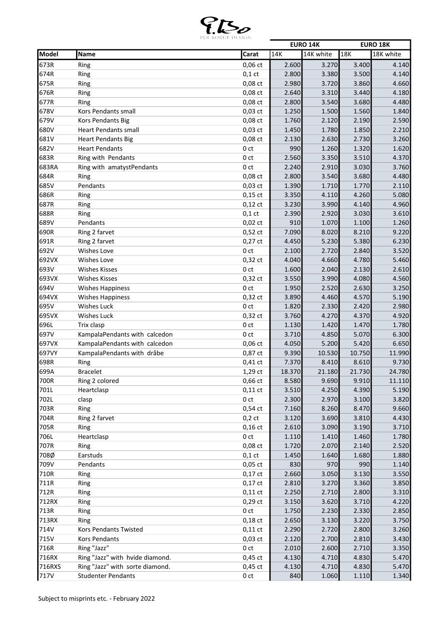

|        |                                 |                 |        | <b>EURO 14K</b> |        | <b>EURO 18K</b> |
|--------|---------------------------------|-----------------|--------|-----------------|--------|-----------------|
| Model  | Name                            | Carat           | 14K    | 14K white       | 18K    | 18K white       |
| 673R   | Ring                            | $0,06$ ct       | 2.600  | 3.270           | 3.400  | 4.140           |
| 674R   | Ring                            | $0,1$ ct        | 2.800  | 3.380           | 3.500  | 4.140           |
| 675R   | Ring                            | 0,08 ct         | 2.980  | 3.720           | 3.860  | 4.660           |
| 676R   | Ring                            | $0,08$ ct       | 2.640  | 3.310           | 3.440  | 4.180           |
| 677R   | Ring                            | $0,08$ ct       | 2.800  | 3.540           | 3.680  | 4.480           |
| 678V   | Kors Pendants small             | $0,03$ ct       | 1.250  | 1.500           | 1.560  | 1.840           |
| 679V   | Kors Pendants Big               | $0,08$ ct       | 1.760  | 2.120           | 2.190  | 2.590           |
| 680V   | <b>Heart Pendants small</b>     | $0,03$ ct       | 1.450  | 1.780           | 1.850  | 2.210           |
| 681V   | <b>Heart Pendants Big</b>       | $0,08$ ct       | 2.130  | 2.630           | 2.730  | 3.260           |
| 682V   | <b>Heart Pendants</b>           | 0 <sub>ct</sub> | 990    | 1.260           | 1.320  | 1.620           |
| 683R   | Ring with Pendants              | 0 <sub>ct</sub> | 2.560  | 3.350           | 3.510  | 4.370           |
| 683RA  | Ring with amatystPendants       | 0 <sub>ct</sub> | 2.240  | 2.910           | 3.030  | 3.760           |
| 684R   | Ring                            | 0,08 ct         | 2.800  | 3.540           | 3.680  | 4.480           |
| 685V   | Pendants                        | $0,03$ ct       | 1.390  | 1.710           | 1.770  | 2.110           |
| 686R   | Ring                            | $0,15$ ct       | 3.350  | 4.110           | 4.260  | 5.080           |
| 687R   | Ring                            | $0,12$ ct       | 3.230  | 3.990           | 4.140  | 4.960           |
| 688R   | Ring                            | $0,1$ ct        | 2.390  | 2.920           | 3.030  | 3.610           |
| 689V   | Pendants                        | $0,02$ ct       | 910    | 1.070           | 1.100  | 1.260           |
| 690R   | Ring 2 farvet                   | $0,52$ ct       | 7.090  | 8.020           | 8.210  | 9.220           |
| 691R   | Ring 2 farvet                   | $0,27$ ct       | 4.450  | 5.230           | 5.380  | 6.230           |
| 692V   | Wishes Love                     | 0 <sub>ct</sub> | 2.100  | 2.720           | 2.840  | 3.520           |
| 692VX  | <b>Wishes Love</b>              | 0,32 ct         | 4.040  | 4.660           | 4.780  | 5.460           |
| 693V   | <b>Wishes Kisses</b>            | 0 <sub>ct</sub> | 1.600  | 2.040           | 2.130  | 2.610           |
| 693VX  | <b>Wishes Kisses</b>            | $0,32$ ct       | 3.550  | 3.990           | 4.080  | 4.560           |
| 694V   | <b>Wishes Happiness</b>         | 0 <sub>ct</sub> | 1.950  | 2.520           | 2.630  | 3.250           |
| 694VX  | <b>Wishes Happiness</b>         | $0,32$ ct       | 3.890  | 4.460           | 4.570  | 5.190           |
| 695V   | <b>Wishes Luck</b>              | 0 <sub>ct</sub> | 1.820  | 2.330           | 2.420  | 2.980           |
| 695VX  | <b>Wishes Luck</b>              | $0,32$ ct       | 3.760  | 4.270           | 4.370  | 4.920           |
| 696L   | Trix clasp                      | 0 <sub>ct</sub> | 1.130  | 1.420           | 1.470  | 1.780           |
| 697V   | KampalaPendants with calcedon   | 0 <sub>ct</sub> | 3.710  | 4.850           | 5.070  | 6.300           |
| 697VX  | KampalaPendants with calcedon   | $0,06$ ct       | 4.050  | 5.200           | 5.420  | 6.650           |
| 697VY  | KampalaPendants with dråbe      | 0,87 ct         | 9.390  | 10.530          | 10.750 | 11.990          |
| 698R   | Ring                            | $0,41$ ct       | 7.370  | 8.410           | 8.610  | 9.730           |
| 699A   | <b>Bracelet</b>                 | 1,29 ct         | 18.370 | 21.180          | 21.730 | 24.780          |
| 700R   | Ring 2 colored                  | $0,66$ ct       | 8.580  | 9.690           | 9.910  | 11.110          |
| 701L   | Heartclasp                      | $0,11$ ct       | 3.510  | 4.250           | 4.390  | 5.190           |
| 702L   | clasp                           | 0 <sub>ct</sub> | 2.300  | 2.970           | 3.100  | 3.820           |
| 703R   | Ring                            | $0,54$ ct       | 7.160  | 8.260           | 8.470  | 9.660           |
| 704R   | Ring 2 farvet                   | $0,2$ ct        | 3.120  | 3.690           | 3.810  | 4.430           |
| 705R   | Ring                            | $0,16$ ct       | 2.610  | 3.090           | 3.190  | 3.710           |
| 706L   | Heartclasp                      | 0 <sub>ct</sub> | 1.110  | 1.410           | 1.460  | 1.780           |
| 707R   | Ring                            | 0,08 ct         | 1.720  | 2.070           | 2.140  | 2.520           |
| 708Ø   | Earstuds                        | $0,1$ ct        | 1.450  | 1.640           | 1.680  | 1.880           |
| 709V   | Pendants                        | $0,05$ ct       | 830    | 970             | 990    | 1.140           |
| 710R   | Ring                            | $0,17$ ct       | 2.660  | 3.050           | 3.130  | 3.550           |
| 711R   | Ring                            | $0,17$ ct       | 2.810  | 3.270           | 3.360  | 3.850           |
| 712R   | Ring                            | $0,11$ ct       | 2.250  | 2.710           | 2.800  | 3.310           |
| 712RX  | Ring                            | $0,29$ ct       | 3.150  | 3.620           | 3.710  | 4.220           |
| 713R   | Ring                            | 0 ct            | 1.750  | 2.230           | 2.330  | 2.850           |
| 713RX  | Ring                            | $0,18$ ct       | 2.650  | 3.130           | 3.220  | 3.750           |
| 714V   | Kors Pendants Twisted           | $0,11$ ct       | 2.290  | 2.720           | 2.800  | 3.260           |
| 715V   | Kors Pendants                   | $0,03$ ct       | 2.120  | 2.700           | 2.810  | 3.430           |
| 716R   | Ring "Jazz"                     | 0 ct            | 2.010  | 2.600           | 2.710  | 3.350           |
| 716RX  | Ring "Jazz" with hvide diamond. | $0,45$ ct       | 4.130  | 4.710           | 4.830  | 5.470           |
| 716RXS | Ring "Jazz" with sorte diamond. | $0,45$ ct       | 4.130  | 4.710           | 4.830  | 5.470           |
| 717V   | <b>Studenter Pendants</b>       | 0 ct            | 840    | 1.060           | 1.110  | 1.340           |
|        |                                 |                 |        |                 |        |                 |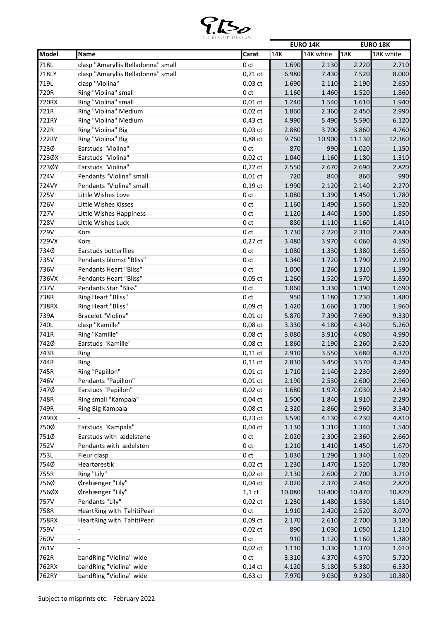

|       |                                    |                 |        | <b>EURO 14K</b> |        | <b>EURO 18K</b> |
|-------|------------------------------------|-----------------|--------|-----------------|--------|-----------------|
| Model | Name                               | Carat           | 14K    | 14K white       | 18K    | 18K white       |
| 718L  | clasp "Amaryllis Belladonna" small | 0 <sub>ct</sub> | 1.690  | 2.130           | 2.220  | 2.710           |
| 718LY | clasp "Amaryllis Belladonna" small | $0,71$ ct       | 6.980  | 7.430           | 7.520  | 8.000           |
| 719L  | clasp "Violina"                    | 0,03 ct         | 1.690  | 2.110           | 2.190  | 2.650           |
| 720R  | Ring "Violina" small               | 0 <sub>ct</sub> | 1.160  | 1.460           | 1.520  | 1.860           |
| 720RX | Ring "Violina" small               | $0,01$ ct       | 1.240  | 1.540           | 1.610  | 1.940           |
| 721R  | Ring "Violina" Medium              | $0,02$ ct       | 1.860  | 2.360           | 2.450  | 2.990           |
| 721RY | Ring "Violina" Medium              | $0,43$ ct       | 4.990  | 5.490           | 5.590  | 6.120           |
| 722R  | Ring "Violina" Big                 | $0,03$ ct       | 2.880  | 3.700           | 3.860  | 4.760           |
| 722RY | Ring "Violina" Big                 | 0,88 ct         | 9.760  | 10.900          | 11.130 | 12.360          |
| 723Ø  | Earstuds "Violina"                 | 0 <sub>ct</sub> | 870    | 990             | 1.020  | 1.150           |
| 723ØX | Earstuds "Violina"                 | $0,02$ ct       | 1.040  | 1.160           | 1.180  | 1.310           |
| 723ØY | Earstuds "Violina"                 | $0,22$ ct       | 2.550  | 2.670           | 2.690  | 2.820           |
| 724V  | Pendants "Violina" small           | $0,01$ ct       | 720    | 840             | 860    | 990             |
| 724VY | Pendants "Violina" small           | $0,19$ ct       | 1.990  | 2.120           | 2.140  | 2.270           |
| 725V  | Little Wishes Love                 | 0 <sub>ct</sub> | 1.080  | 1.390           | 1.450  | 1.780           |
| 726V  | Little Wishes Kisses               | 0 <sub>ct</sub> | 1.160  | 1.490           | 1.560  | 1.920           |
|       |                                    |                 |        |                 |        |                 |
| 727V  | Little Wishes Happiness            | 0 <sub>ct</sub> | 1.120  | 1.440           | 1.500  | 1.850           |
| 728V  | Little Wishes Luck                 | 0 <sub>ct</sub> | 880    | 1.110           | 1.160  | 1.410           |
| 729V  | Kors                               | 0 <sub>ct</sub> | 1.730  | 2.220           | 2.310  | 2.840           |
| 729VX | Kors                               | $0,27$ ct       | 3.480  | 3.970           | 4.060  | 4.590           |
| 734Ø  | Earstuds butterflies               | 0 <sub>ct</sub> | 1.080  | 1.330           | 1.380  | 1.650           |
| 735V  | Pendants blomst "Bliss"            | 0 <sub>ct</sub> | 1.340  | 1.720           | 1.790  | 2.190           |
| 736V  | Pendants Heart "Bliss"             | 0 <sub>ct</sub> | 1.000  | 1.260           | 1.310  | 1.590           |
| 736VX | Pendants Heart "Bliss"             | $0,05$ ct       | 1.260  | 1.520           | 1.570  | 1.850           |
| 737V  | Pendants Star "Bliss"              | 0 <sub>ct</sub> | 1.060  | 1.330           | 1.390  | 1.690           |
| 738R  | Ring Heart "Bliss"                 | 0 <sub>ct</sub> | 950    | 1.180           | 1.230  | 1.480           |
| 738RX | Ring Heart "Bliss"                 | $0,09$ ct       | 1.420  | 1.660           | 1.700  | 1.960           |
| 739A  | Bracelet "Violina"                 | $0,01$ ct       | 5.870  | 7.390           | 7.690  | 9.330           |
| 740L  | clasp "Kamille"                    | $0,08$ $ct$     | 3.330  | 4.180           | 4.340  | 5.260           |
| 741R  | Ring "Kamille"                     | 0,08 ct         | 3.080  | 3.910           | 4.080  | 4.990           |
| 742Ø  | Earstuds "Kamille"                 | 0,08 ct         | 1.860  | 2.190           | 2.260  | 2.620           |
| 743R  | Ring                               | $0,11$ ct       | 2.910  | 3.550           | 3.680  | 4.370           |
| 744R  | Ring                               | $0,11$ ct       | 2.830  | 3.450           | 3.570  | 4.240           |
| 745R  | Ring "Papillon"                    | $0,01$ ct       | 1.710  | 2.140           | 2.230  | 2.690           |
| 746V  | Pendants "Papillon"                | $0,01$ ct       | 2.190  | 2.530           | 2.600  | 2.960           |
| 747Ø  | Earstuds "Papillon"                | $0,02$ ct       | 1.680  | 1.970           | 2.030  | 2.340           |
| 748R  | Ring small "Kampala"               | $0,04$ ct       | 1.500  | 1.840           | 1.910  | 2.290           |
| 749R  | Ring Big Kampala                   | 0,08 ct         | 2.320  | 2.860           | 2.960  | 3.540           |
| 749RX |                                    | $0,23$ ct       | 3.590  | 4.130           | 4.230  | 4.810           |
| 750Ø  | Earstuds "Kampala"                 | $0,04$ ct       | 1.130  | 1.310           | 1.340  | 1.540           |
| 751Ø  | Earstuds with ædelstene            | 0 <sub>ct</sub> | 2.020  | 2.300           | 2.360  | 2.660           |
| 752V  | Pendants with ædelsten             | 0 ct            | 1.210  | 1.410           | 1.450  | 1.670           |
| 753L  | Fleur clasp                        | 0 ct            | 1.030  | 1.290           | 1.340  | 1.620           |
| 754Ø  | Heartørestik                       | $0,02$ ct       | 1.230  | 1.470           | 1.520  | 1.780           |
| 755R  | Ring "Lily"                        | $0,02$ ct       | 2.130  | 2.600           | 2.700  | 3.210           |
| 756Ø  | Ørehænger "Lily"                   | $0,04$ ct       | 2.020  | 2.370           | 2.440  | 2.820           |
| 756ØX | Ørehænger "Lily"                   | $1,1$ ct        | 10.080 | 10.400          | 10.470 | 10.820          |
| 757V  | Pendants "Lily"                    | $0,02$ ct       | 1.230  | 1.480           | 1.530  | 1.810           |
|       |                                    |                 |        |                 |        |                 |
| 758R  | HeartRing with TahitiPearl         | 0 ct            | 1.910  | 2.420           | 2.520  | 3.070           |
| 758RX | HeartRing with TahitiPearl         | 0,09 ct         | 2.170  | 2.610           | 2.700  | 3.180           |
| 759V  | $\overline{\phantom{a}}$           | $0,02$ ct       | 890    | 1.030           | 1.050  | 1.210           |
| 760V  | $\overline{\phantom{a}}$           | 0 ct            | 910    | 1.120           | 1.160  | 1.380           |
| 761V  |                                    | $0,02$ ct       | 1.110  | 1.330           | 1.370  | 1.610           |
| 762R  | bandRing "Violina" wide            | 0 ct            | 3.310  | 4.370           | 4.570  | 5.720           |
| 762RX | bandRing "Violina" wide            | $0,14$ ct       | 4.120  | 5.180           | 5.380  | 6.530           |
| 762RY | bandRing "Violina" wide            | $0,63$ ct       | 7.970  | 9.030           | 9.230  | 10.380          |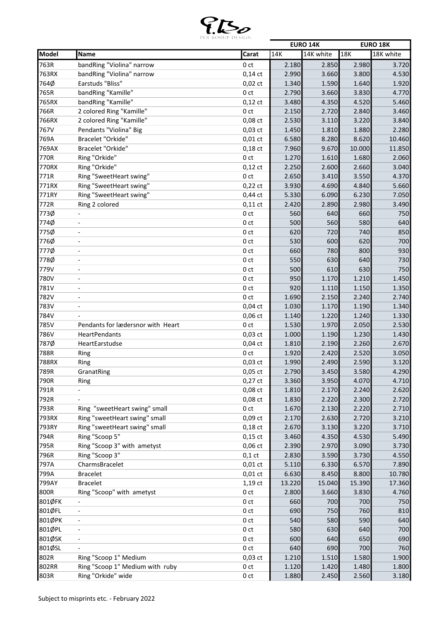

|        |                                   |                 |        | <b>EURO 14K</b> |        | <b>EURO 18K</b> |
|--------|-----------------------------------|-----------------|--------|-----------------|--------|-----------------|
| Model  | Name                              | Carat           | 14K    | 14K white       | 18K    | 18K white       |
| 763R   | bandRing "Violina" narrow         | 0 <sub>ct</sub> | 2.180  | 2.850           | 2.980  | 3.720           |
| 763RX  | bandRing "Violina" narrow         | $0,14$ ct       | 2.990  | 3.660           | 3.800  | 4.530           |
| 764Ø   | <b>Earstuds "Bliss"</b>           | $0,02$ ct       | 1.340  | 1.590           | 1.640  | 1.920           |
| 765R   | bandRing "Kamille"                | 0 <sub>ct</sub> | 2.790  | 3.660           | 3.830  | 4.770           |
| 765RX  | bandRing "Kamille"                | $0,12$ ct       | 3.480  | 4.350           | 4.520  | 5.460           |
| 766R   | 2 colored Ring "Kamille"          | 0 <sub>ct</sub> | 2.150  | 2.720           | 2.840  | 3.460           |
| 766RX  | 2 colored Ring "Kamille"          | $0,08$ ct       | 2.530  | 3.110           | 3.220  | 3.840           |
| 767V   | Pendants "Violina" Big            | $0,03$ ct       | 1.450  | 1.810           | 1.880  | 2.280           |
| 769A   | Bracelet "Orkide"                 | $0,01$ ct       | 6.580  | 8.280           | 8.620  | 10.460          |
| 769AX  | Bracelet "Orkide"                 | $0,18$ ct       | 7.960  | 9.670           | 10.000 | 11.850          |
| 770R   | Ring "Orkide"                     | 0 <sub>ct</sub> | 1.270  | 1.610           | 1.680  | 2.060           |
| 770RX  | Ring "Orkide"                     | $0,12$ ct       | 2.250  | 2.600           | 2.660  | 3.040           |
| 771R   | Ring "SweetHeart swing"           | 0 <sub>ct</sub> | 2.650  | 3.410           | 3.550  | 4.370           |
| 771RX  | Ring "SweetHeart swing"           | $0,22$ ct       | 3.930  | 4.690           | 4.840  | 5.660           |
| 771RY  | Ring "SweetHeart swing"           | $0,44$ ct       | 5.330  | 6.090           | 6.230  | 7.050           |
| 772R   | Ring 2 colored                    | $0,11$ ct       | 2.420  | 2.890           | 2.980  | 3.490           |
| 773Ø   |                                   | 0 <sub>ct</sub> | 560    | 640             | 660    | 750             |
| 774Ø   | $\overline{\phantom{a}}$          | 0 <sub>ct</sub> | 500    | 560             | 580    | 640             |
| 775Ø   | $\overline{a}$                    | 0 ct            | 620    | 720             | 740    | 850             |
| 776Ø   |                                   | 0 <sub>ct</sub> | 530    | 600             | 620    | 700             |
| 777Ø   | $\overline{a}$                    | 0 <sub>ct</sub> | 660    | 780             | 800    | 930             |
| 778Ø   | $\overline{\phantom{a}}$          | 0 <sub>ct</sub> | 550    | 630             | 640    | 730             |
| 779V   | $\overline{\phantom{a}}$          | 0 <sub>ct</sub> | 500    | 610             | 630    | 750             |
| 780V   | $\overline{\phantom{a}}$          | 0 <sub>ct</sub> | 950    | 1.170           | 1.210  | 1.450           |
| 781V   |                                   | 0 <sub>ct</sub> | 920    | 1.110           | 1.150  | 1.350           |
| 782V   |                                   | 0 <sub>ct</sub> | 1.690  | 2.150           | 2.240  | 2.740           |
| 783V   | $\overline{\phantom{a}}$          | $0,04$ ct       | 1.030  | 1.170           | 1.190  | 1.340           |
| 784V   |                                   | $0,06$ ct       | 1.140  | 1.220           | 1.240  | 1.330           |
| 785V   | Pendants for lædersnor with Heart | 0 <sub>ct</sub> | 1.530  | 1.970           | 2.050  | 2.530           |
| 786V   | HeartPendants                     | $0,03$ ct       | 1.000  | 1.190           | 1.230  | 1.430           |
| 787Ø   | HeartEarstudse                    | $0,04$ ct       | 1.810  | 2.190           | 2.260  | 2.670           |
| 788R   | Ring                              | 0 <sub>ct</sub> | 1.920  | 2.420           | 2.520  | 3.050           |
| 788RX  | Ring                              | $0,03$ ct       | 1.990  | 2.490           | 2.590  | 3.120           |
| 789R   | GranatRing                        | $0,05$ ct       | 2.790  | 3.450           | 3.580  | 4.290           |
| 790R   | Ring                              | $0,27$ ct       | 3.360  | 3.950           | 4.070  | 4.710           |
| 791R   |                                   | 0,08 ct         | 1.810  | 2.170           | 2.240  | 2.620           |
| 792R   |                                   | $0,08$ ct       | 1.830  | 2.220           | 2.300  | 2.720           |
| 793R   | Ring "sweetHeart swing" small     | 0 ct            | 1.670  | 2.130           | 2.220  | 2.710           |
| 793RX  | Ring "sweetHeart swing" small     | $0,09$ ct       | 2.170  | 2.630           | 2.720  | 3.210           |
| 793RY  | Ring "sweetHeart swing" small     | $0,18$ ct       | 2.670  | 3.130           | 3.220  | 3.710           |
| 794R   | Ring "Scoop 5"                    | $0,15$ ct       | 3.460  | 4.350           | 4.530  | 5.490           |
| 795R   | Ring "Scoop 3" with ametyst       | $0,06$ ct       | 2.390  | 2.970           | 3.090  | 3.730           |
| 796R   | Ring "Scoop 3"                    | $0,1$ ct        | 2.830  | 3.590           | 3.730  | 4.550           |
| 797A   | CharmsBracelet                    | $0,01$ ct       | 5.110  | 6.330           | 6.570  | 7.890           |
| 799A   | <b>Bracelet</b>                   | $0,01$ ct       | 6.630  | 8.450           | 8.800  | 10.780          |
| 799AY  | <b>Bracelet</b>                   | 1,19 ct         | 13.220 | 15.040          | 15.390 | 17.360          |
| 800R   | Ring "Scoop" with ametyst         | 0 ct            | 2.800  | 3.660           | 3.830  | 4.760           |
| 801ØFK |                                   | 0 ct            | 660    | 700             | 700    | 750             |
| 801ØFL | $\overline{\phantom{a}}$          | 0 <sub>ct</sub> | 690    | 750             | 760    | 810             |
| 801ØPK | $\overline{\phantom{a}}$          | 0ct             | 540    | 580             | 590    | 640             |
| 801ØPL | $\overline{\phantom{a}}$          | 0 <sub>ct</sub> | 580    | 630             | 640    | 700             |
| 801ØSK | $\overline{\phantom{a}}$          | 0ct             | 600    | 640             | 650    | 690             |
| 801ØSL |                                   | 0 ct            | 640    | 690             | 700    | 760             |
| 802R   | Ring "Scoop 1" Medium             | $0,03$ ct       | 1.210  | 1.510           | 1.580  | 1.900           |
| 802RR  | Ring "Scoop 1" Medium with ruby   | 0 ct            | 1.120  | 1.420           | 1.480  | 1.800           |
| 803R   | Ring "Orkide" wide                | 0 ct            | 1.880  | 2.450           | 2.560  | 3.180           |
|        |                                   |                 |        |                 |        |                 |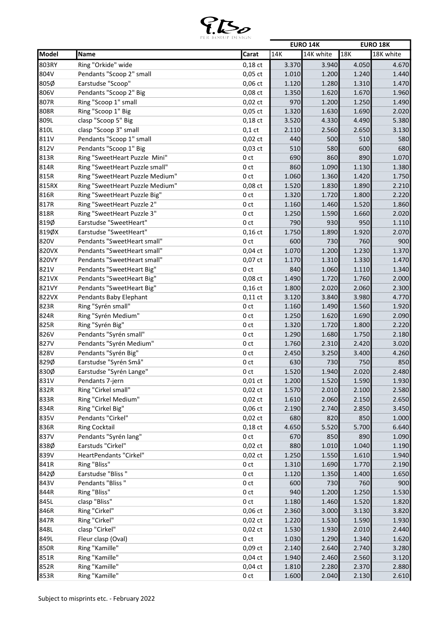

|       |                                            |                                    |              | <b>EURO 14K</b> |              | <b>EURO 18K</b> |
|-------|--------------------------------------------|------------------------------------|--------------|-----------------|--------------|-----------------|
| Model | Name                                       | Carat                              | 14K          | 14K white       | 18K          | 18K white       |
| 803RY | Ring "Orkide" wide                         | $0,18$ ct                          | 3.370        | 3.940           | 4.050        | 4.670           |
| 804V  | Pendants "Scoop 2" small                   | $0,05$ ct                          | 1.010        | 1.200           | 1.240        | 1.440           |
| 805Ø  | Earstudse "Scoop"                          | 0,06 ct                            | 1.120        | 1.280           | 1.310        | 1.470           |
| 806V  | Pendants "Scoop 2" Big                     | 0,08 ct                            | 1.350        | 1.620           | 1.670        | 1.960           |
| 807R  | Ring "Scoop 1" small                       | $0,02$ ct                          | 970          | 1.200           | 1.250        | 1.490           |
| 808R  | Ring "Scoop 1" Big                         | $0,05$ ct                          | 1.320        | 1.630           | 1.690        | 2.020           |
| 809L  | clasp "Scoop 5" Big                        | $0,18$ ct                          | 3.520        | 4.330           | 4.490        | 5.380           |
| 810L  | clasp "Scoop 3" small                      | $0,1$ ct                           | 2.110        | 2.560           | 2.650        | 3.130           |
| 811V  | Pendants "Scoop 1" small                   | $0,02$ ct                          | 440          | 500             | 510          | 580             |
| 812V  | Pendants "Scoop 1" Big                     | $0,03$ ct                          | 510          | 580             | 600          | 680             |
| 813R  | Ring "SweetHeart Puzzle Mini"              | 0 <sub>ct</sub>                    | 690          | 860             | 890          | 1.070           |
| 814R  | Ring "SweetHeart Puzzle small"             | 0 <sub>ct</sub>                    | 860          | 1.090           | 1.130        | 1.380           |
| 815R  | Ring "SweetHeart Puzzle Medium"            | 0 <sub>ct</sub>                    | 1.060        | 1.360           | 1.420        | 1.750           |
| 815RX | Ring "SweetHeart Puzzle Medium"            | 0,08 ct                            | 1.520        | 1.830           | 1.890        | 2.210           |
| 816R  | Ring "SweetHeart Puzzle Big"               | 0 <sub>ct</sub>                    | 1.320        | 1.720           | 1.800        | 2.220           |
| 817R  | Ring "SweetHeart Puzzle 2"                 | 0 <sub>ct</sub>                    | 1.160        | 1.460           | 1.520        | 1.860           |
| 818R  | Ring "SweetHeart Puzzle 3"                 | 0 <sub>ct</sub>                    | 1.250        | 1.590           | 1.660        | 2.020           |
| 819Ø  | Earstudse "SweetHeart"                     | 0 <sub>ct</sub>                    | 790          | 930             | 950          | 1.110           |
| 819ØX | Earstudse "SweetHeart"                     | $0,16$ ct                          | 1.750        | 1.890           | 1.920        | 2.070           |
| 820V  | Pendants "SweetHeart small"                | 0 <sub>ct</sub>                    | 600          | 730             | 760          | 900             |
| 820VX | Pendants "SweetHeart small"                | $0,04$ ct                          | 1.070        | 1.200           | 1.230        | 1.370           |
| 820VY | Pendants "SweetHeart small"                | 0,07 ct                            | 1.170        | 1.310           | 1.330        | 1.470           |
| 821V  | Pendants "SweetHeart Big"                  | 0 <sub>ct</sub>                    | 840          | 1.060           | 1.110        | 1.340           |
| 821VX | Pendants "SweetHeart Big"                  | $0,08$ ct                          | 1.490        | 1.720           | 1.760        | 2.000           |
| 821VY | Pendants "SweetHeart Big"                  | $0,16$ ct                          | 1.800        | 2.020           | 2.060        | 2.300           |
| 822VX | Pendants Baby Elephant                     | $0,11$ ct                          | 3.120        | 3.840           | 3.980        | 4.770           |
| 823R  | Ring "Syrén small"                         | 0 <sub>ct</sub>                    | 1.160        | 1.490           | 1.560        | 1.920           |
| 824R  |                                            | 0 <sub>ct</sub>                    | 1.250        |                 | 1.690        |                 |
| 825R  | Ring "Syrén Medium"                        | 0 <sub>ct</sub>                    | 1.320        | 1.620<br>1.720  | 1.800        | 2.090<br>2.220  |
| 826V  | Ring "Syrén Big"<br>Pendants "Syrén small" |                                    |              |                 |              |                 |
| 827V  | Pendants "Syrén Medium"                    | 0 <sub>ct</sub><br>0 <sub>ct</sub> | 1.290        | 1.680           | 1.750        | 2.180           |
|       |                                            |                                    | 1.760        | 2.310           | 2.420        | 3.020           |
| 828V  | Pendants "Syrén Big"                       | 0 <sub>ct</sub>                    | 2.450        | 3.250           | 3.400        | 4.260           |
| 829Ø  | Earstudse "Syrén Små"                      | 0 <sub>ct</sub>                    | 630<br>1.520 | 730             | 750<br>2.020 | 850             |
| 830Ø  | Earstudse "Syrén Lange"                    | 0ct                                |              | 1.940           |              | 2.480           |
| 831V  | Pendants 7-jern<br>Ring "Cirkel small"     | $0,01$ ct                          | 1.200        | 1.520           | 1.590        | 1.930           |
| 832R  |                                            | $0,02$ ct                          | 1.570        | 2.010           | 2.100        | 2.580           |
| 833R  | Ring "Cirkel Medium"                       | $0,02$ ct                          | 1.610        | 2.060           | 2.150        | 2.650           |
| 834R  | Ring "Cirkel Big"                          | $0,06$ ct                          | 2.190        | 2.740           | 2.850        | 3.450           |
| 835V  | Pendants "Cirkel"                          | $0,02$ ct                          | 680          | 820             | 850          | 1.000           |
| 836R  | <b>Ring Cocktail</b>                       | $0,18$ ct                          | 4.650        | 5.520           | 5.700        | 6.640           |
| 837V  | Pendants "Syrén lang"                      | 0 <sub>ct</sub>                    | 670          | 850             | 890          | 1.090           |
| 838Ø  | Earstuds "Cirkel"                          | $0,02$ ct                          | 880          | 1.010           | 1.040        | 1.190           |
| 839V  | HeartPendants "Cirkel"                     | $0,02$ ct                          | 1.250        | 1.550           | 1.610        | 1.940           |
| 841R  | Ring "Bliss"                               | 0 ct                               | 1.310        | 1.690           | 1.770        | 2.190           |
| 842Ø  | Earstudse "Bliss"                          | 0 ct                               | 1.120        | 1.350           | 1.400        | 1.650           |
| 843V  | Pendants "Bliss"                           | 0 ct                               | 600          | 730             | 760          | 900             |
| 844R  | Ring "Bliss"                               | 0 <sub>ct</sub>                    | 940          | 1.200           | 1.250        | 1.530           |
| 845L  | clasp "Bliss"                              | 0 ct                               | 1.180        | 1.460           | 1.520        | 1.820           |
| 846R  | Ring "Cirkel"                              | $0,06$ ct                          | 2.360        | 3.000           | 3.130        | 3.820           |
| 847R  | Ring "Cirkel"                              | $0,02$ ct                          | 1.220        | 1.530           | 1.590        | 1.930           |
| 848L  | clasp "Cirkel"                             | $0,02$ ct                          | 1.530        | 1.930           | 2.010        | 2.440           |
| 849L  | Fleur clasp (Oval)                         | 0 <sub>ct</sub>                    | 1.030        | 1.290           | 1.340        | 1.620           |
| 850R  | Ring "Kamille"                             | $0,09$ ct                          | 2.140        | 2.640           | 2.740        | 3.280           |
| 851R  | Ring "Kamille"                             | $0,04$ ct                          | 1.940        | 2.460           | 2.560        | 3.120           |
| 852R  | Ring "Kamille"                             | $0,04$ ct                          | 1.810        | 2.280           | 2.370        | 2.880           |
| 853R  | Ring "Kamille"                             | 0 ct                               | 1.600        | 2.040           | 2.130        | 2.610           |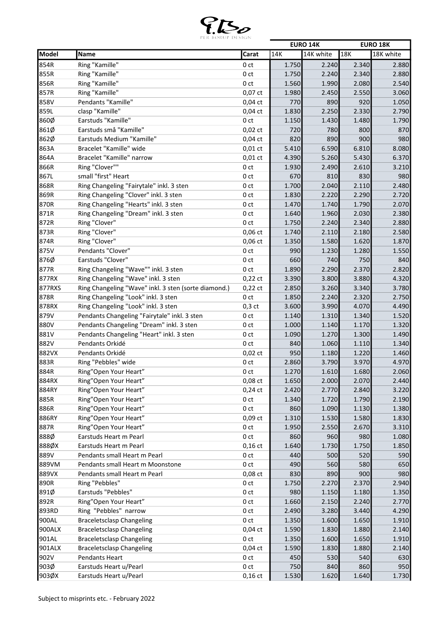

|        |                                                      |                 |       | <b>EURO 14K</b> |       | <b>EURO 18K</b> |
|--------|------------------------------------------------------|-----------------|-------|-----------------|-------|-----------------|
| Model  | Name                                                 | Carat           | 14K   | 14K white       | 18K   | 18K white       |
| 854R   | Ring "Kamille"                                       | 0 <sub>ct</sub> | 1.750 | 2.240           | 2.340 | 2.880           |
| 855R   | Ring "Kamille"                                       | 0 <sub>ct</sub> | 1.750 | 2.240           | 2.340 | 2.880           |
| 856R   | Ring "Kamille"                                       | 0 <sub>ct</sub> | 1.560 | 1.990           | 2.080 | 2.540           |
| 857R   | Ring "Kamille"                                       | $0,07$ ct       | 1.980 | 2.450           | 2.550 | 3.060           |
| 858V   | Pendants "Kamille"                                   | $0,04$ ct       | 770   | 890             | 920   | 1.050           |
| 859L   | clasp "Kamille"                                      | $0,04$ ct       | 1.830 | 2.250           | 2.330 | 2.790           |
| 860Ø   | Earstuds "Kamille"                                   | 0 <sub>ct</sub> | 1.150 | 1.430           | 1.480 | 1.790           |
| 861Ø   | Earstuds små "Kamille"                               | $0,02$ ct       | 720   | 780             | 800   | 870             |
| 862Ø   | Earstuds Medium "Kamille"                            | $0,04$ ct       | 820   | 890             | 900   | 980             |
| 863A   | Bracelet "Kamille" wide                              | $0,01$ ct       | 5.410 | 6.590           | 6.810 | 8.080           |
| 864A   | Bracelet "Kamille" narrow                            | $0,01$ ct       | 4.390 | 5.260           | 5.430 | 6.370           |
| 866R   | Ring "Clover""                                       | 0 <sub>ct</sub> | 1.930 | 2.490           | 2.610 | 3.210           |
| 867L   | small "first" Heart                                  | 0 <sub>ct</sub> | 670   | 810             | 830   | 980             |
| 868R   |                                                      |                 |       | 2.040           |       | 2.480           |
|        | Ring Changeling "Fairytale" inkl. 3 sten             | 0 <sub>ct</sub> | 1.700 |                 | 2.110 |                 |
| 869R   | Ring Changeling "Clover" inkl. 3 sten                | 0 <sub>ct</sub> | 1.830 | 2.220           | 2.290 | 2.720           |
| 870R   | Ring Changeling "Hearts" inkl. 3 sten                | 0 <sub>ct</sub> | 1.470 | 1.740           | 1.790 | 2.070           |
| 871R   | Ring Changeling "Dream" inkl. 3 sten                 | 0 <sub>ct</sub> | 1.640 | 1.960           | 2.030 | 2.380           |
| 872R   | Ring "Clover"                                        | 0 <sub>ct</sub> | 1.750 | 2.240           | 2.340 | 2.880           |
| 873R   | Ring "Clover"                                        | 0,06 ct         | 1.740 | 2.110           | 2.180 | 2.580           |
| 874R   | Ring "Clover"                                        | 0,06 ct         | 1.350 | 1.580           | 1.620 | 1.870           |
| 875V   | Pendants "Clover"                                    | 0 <sub>ct</sub> | 990   | 1.230           | 1.280 | 1.550           |
| 876Ø   | Earstuds "Clover"                                    | 0 <sub>ct</sub> | 660   | 740             | 750   | 840             |
| 877R   | Ring Changeling "Wave"" inkl. 3 sten                 | 0 ct            | 1.890 | 2.290           | 2.370 | 2.820           |
| 877RX  | Ring Changeling "Wave" inkl. 3 sten                  | $0,22$ ct       | 3.390 | 3.800           | 3.880 | 4.320           |
| 877RXS | Ring Changeling "Wave" inkl. 3 sten (sorte diamond.) | $0,22$ ct       | 2.850 | 3.260           | 3.340 | 3.780           |
| 878R   | Ring Changeling "Look" inkl. 3 sten                  | 0 <sub>ct</sub> | 1.850 | 2.240           | 2.320 | 2.750           |
| 878RX  | Ring Changeling "Look" inkl. 3 sten                  | $0,3$ ct        | 3.600 | 3.990           | 4.070 | 4.490           |
| 879V   | Pendants Changeling "Fairytale" inkl. 3 sten         | 0 <sub>ct</sub> | 1.140 | 1.310           | 1.340 | 1.520           |
| 880V   | Pendants Changeling "Dream" inkl. 3 sten             | 0 ct            | 1.000 | 1.140           | 1.170 | 1.320           |
| 881V   | Pendants Changeling "Heart" inkl. 3 sten             | 0 <sub>ct</sub> | 1.090 | 1.270           | 1.300 | 1.490           |
| 882V   | Pendants Orkidé                                      | 0 <sub>ct</sub> | 840   | 1.060           | 1.110 | 1.340           |
| 882VX  | Pendants Orkidé                                      | $0,02$ ct       | 950   | 1.180           | 1.220 | 1.460           |
| 883R   | Ring "Pebbles" wide                                  | 0 <sub>ct</sub> | 2.860 | 3.790           | 3.970 | 4.970           |
| 884R   | Ring"Open Your Heart"                                | 0 ct            | 1.270 | 1.610           | 1.680 | 2.060           |
| 884RX  | Ring"Open Your Heart"                                | $0,08$ ct       | 1.650 | 2.000           | 2.070 | 2.440           |
| 884RY  | Ring"Open Your Heart"                                | $0,24$ ct       | 2.420 | 2.770           | 2.840 | 3.220           |
| 885R   | Ring"Open Your Heart"                                | 0 ct            | 1.340 | 1.720           | 1.790 | 2.190           |
| 886R   | Ring"Open Your Heart"                                | 0 ct            | 860   | 1.090           | 1.130 | 1.380           |
| 886RY  | Ring"Open Your Heart"                                | 0,09 ct         | 1.310 | 1.530           | 1.580 | 1.830           |
| 887R   | Ring"Open Your Heart"                                | 0 <sub>ct</sub> | 1.950 | 2.550           | 2.670 | 3.310           |
| 888Ø   | Earstuds Heart m Pearl                               | 0 ct            | 860   | 960             | 980   | 1.080           |
| 888ØX  | Earstuds Heart m Pearl                               | $0,16$ ct       | 1.640 | 1.730           | 1.750 | 1.850           |
| 889V   | Pendants small Heart m Pearl                         | 0 ct            | 440   | 500             | 520   | 590             |
| 889VM  | Pendants small Heart m Moonstone                     | 0 ct            | 490   | 560             | 580   | 650             |
| 889VX  | Pendants small Heart m Pearl                         | 0,08 ct         | 830   | 890             | 900   | 980             |
| 890R   | Ring "Pebbles"                                       | 0 ct            | 1.750 | 2.270           | 2.370 | 2.940           |
| 891Ø   | Earstuds "Pebbles"                                   |                 |       |                 |       |                 |
|        |                                                      | 0 ct            | 980   | 1.150           | 1.180 | 1.350           |
| 892R   | Ring"Open Your Heart"                                | 0 ct            | 1.660 | 2.150           | 2.240 | 2.770           |
| 893RD  | Ring "Pebbles" narrow                                | 0 <sub>ct</sub> | 2.490 | 3.280           | 3.440 | 4.290           |
| 900AL  | <b>Braceletsclasp Changeling</b>                     | 0 ct            | 1.350 | 1.600           | 1.650 | 1.910           |
| 900ALX | <b>Braceletsclasp Changeling</b>                     | $0,04$ ct       | 1.590 | 1.830           | 1.880 | 2.140           |
| 901AL  | <b>Braceletsclasp Changeling</b>                     | 0 <sub>ct</sub> | 1.350 | 1.600           | 1.650 | 1.910           |
| 901ALX | <b>Braceletsclasp Changeling</b>                     | $0,04$ ct       | 1.590 | 1.830           | 1.880 | 2.140           |
| 902V   | Pendants Heart                                       | 0 ct            | 450   | 530             | 540   | 630             |
| 903Ø   | Earstuds Heart u/Pearl                               | 0 <sub>ct</sub> | 750   | 840             | 860   | 950             |
| 903ØX  | Earstuds Heart u/Pearl                               | $0,16$ ct       | 1.530 | 1.620           | 1.640 | 1.730           |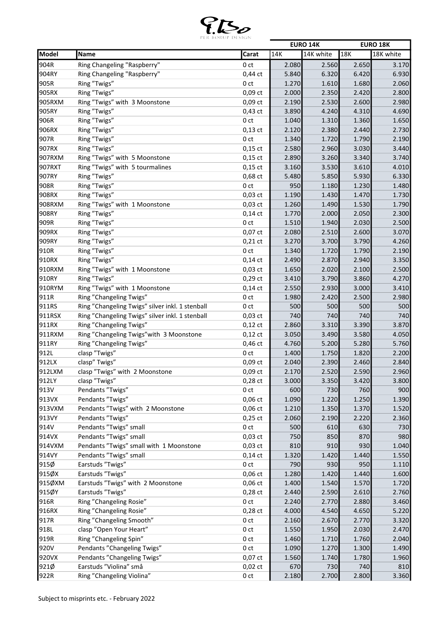

|        |                                                 |                 |       | <b>EURO 14K</b> |       | <b>EURO 18K</b> |
|--------|-------------------------------------------------|-----------------|-------|-----------------|-------|-----------------|
| Model  | Name                                            | Carat           | 14K   | 14K white       | 18K   | 18K white       |
| 904R   | Ring Changeling "Raspberry"                     | 0 <sub>ct</sub> | 2.080 | 2.560           | 2.650 | 3.170           |
| 904RY  | Ring Changeling "Raspberry"                     | $0,44$ ct       | 5.840 | 6.320           | 6.420 | 6.930           |
| 905R   | Ring "Twigs"                                    | 0 <sub>ct</sub> | 1.270 | 1.610           | 1.680 | 2.060           |
| 905RX  | Ring "Twigs"                                    | $0,09$ ct       | 2.000 | 2.350           | 2.420 | 2.800           |
| 905RXM | Ring "Twigs" with 3 Moonstone                   | $0,09$ ct       | 2.190 | 2.530           | 2.600 | 2.980           |
| 905RY  | Ring "Twigs"                                    | $0,43$ ct       | 3.890 | 4.240           | 4.310 | 4.690           |
| 906R   | Ring "Twigs"                                    | 0 <sub>ct</sub> | 1.040 | 1.310           | 1.360 | 1.650           |
| 906RX  | Ring "Twigs"                                    | $0,13$ ct       | 2.120 | 2.380           | 2.440 | 2.730           |
| 907R   | Ring "Twigs"                                    | 0 <sub>ct</sub> | 1.340 | 1.720           | 1.790 | 2.190           |
| 907RX  | Ring "Twigs"                                    | $0,15$ ct       | 2.580 | 2.960           | 3.030 | 3.440           |
| 907RXM | Ring "Twigs" with 5 Moonstone                   | $0,15$ ct       | 2.890 | 3.260           | 3.340 | 3.740           |
| 907RXT | Ring "Twigs" with 5 tourmalines                 | $0,15$ ct       | 3.160 | 3.530           | 3.610 | 4.010           |
| 907RY  | Ring "Twigs"                                    | 0,68 ct         | 5.480 | 5.850           | 5.930 | 6.330           |
| 908R   | Ring "Twigs"                                    | 0 ct            | 950   | 1.180           | 1.230 | 1.480           |
| 908RX  | Ring "Twigs"                                    |                 |       |                 |       |                 |
|        |                                                 | $0,03$ ct       | 1.190 | 1.430           | 1.470 | 1.730           |
| 908RXM | Ring "Twigs" with 1 Moonstone                   | $0,03$ ct       | 1.260 | 1.490           | 1.530 | 1.790           |
| 908RY  | Ring "Twigs"                                    | $0,14$ ct       | 1.770 | 2.000           | 2.050 | 2.300           |
| 909R   | Ring "Twigs"                                    | 0 <sub>ct</sub> | 1.510 | 1.940           | 2.030 | 2.500           |
| 909RX  | Ring "Twigs"                                    | $0,07$ ct       | 2.080 | 2.510           | 2.600 | 3.070           |
| 909RY  | Ring "Twigs"                                    | $0,21$ ct       | 3.270 | 3.700           | 3.790 | 4.260           |
| 910R   | Ring "Twigs"                                    | 0 <sub>ct</sub> | 1.340 | 1.720           | 1.790 | 2.190           |
| 910RX  | Ring "Twigs"                                    | $0,14$ ct       | 2.490 | 2.870           | 2.940 | 3.350           |
| 910RXM | Ring "Twigs" with 1 Moonstone                   | $0,03$ ct       | 1.650 | 2.020           | 2.100 | 2.500           |
| 910RY  | Ring "Twigs"                                    | $0,29$ ct       | 3.410 | 3.790           | 3.860 | 4.270           |
| 910RYM | Ring "Twigs" with 1 Moonstone                   | $0,14$ ct       | 2.550 | 2.930           | 3.000 | 3.410           |
| 911R   | Ring "Changeling Twigs"                         | 0 <sub>ct</sub> | 1.980 | 2.420           | 2.500 | 2.980           |
| 911RS  | Ring "Changeling Twigs" silver inkl. 1 stenball | 0 ct            | 500   | 500             | 500   | 500             |
| 911RSX | Ring "Changeling Twigs" silver inkl. 1 stenball | $0,03$ ct       | 740   | 740             | 740   | 740             |
| 911RX  | Ring "Changeling Twigs"                         | $0,12$ ct       | 2.860 | 3.310           | 3.390 | 3.870           |
| 911RXM | Ring "Changeling Twigs" with 3 Moonstone        | $0,12$ ct       | 3.050 | 3.490           | 3.580 | 4.050           |
| 911RY  | Ring "Changeling Twigs"                         | 0,46 ct         | 4.760 | 5.200           | 5.280 | 5.760           |
| 912L   | clasp "Twigs"                                   | 0 <sub>ct</sub> | 1.400 | 1.750           | 1.820 | 2.200           |
| 912LX  | clasp" Twigs"                                   | $0,09$ ct       | 2.040 | 2.390           | 2.460 | 2.840           |
| 912LXM | clasp "Twigs" with 2 Moonstone                  | 0,09 ct         | 2.170 | 2.520           | 2.590 | 2.960           |
| 912LY  | clasp "Twigs"                                   | $0,28$ ct       | 3.000 | 3.350           | 3.420 | 3.800           |
| 913V   | Pendants "Twigs"                                | 0 <sub>ct</sub> | 600   | 730             | 760   | 900             |
| 913VX  | Pendants "Twigs"                                | $0,06$ ct       | 1.090 | 1.220           | 1.250 | 1.390           |
| 913VXM | Pendants "Twigs" with 2 Moonstone               | $0,06$ ct       | 1.210 | 1.350           | 1.370 | 1.520           |
| 913VY  | Pendants "Twigs"                                | $0,25$ ct       | 2.060 | 2.190           | 2.220 | 2.360           |
| 914V   | Pendants "Twigs" small                          | 0 ct            | 500   | 610             | 630   | 730             |
| 914VX  | Pendants "Twigs" small                          | $0,03$ ct       | 750   | 850             | 870   | 980             |
| 914VXM | Pendants "Twigs" small with 1 Moonstone         | $0,03$ ct       | 810   | 910             | 930   | 1.040           |
| 914VY  | Pendants "Twigs" small                          | $0,14$ ct       | 1.320 | 1.420           | 1.440 | 1.550           |
| 915Ø   | Earstuds "Twigs"                                | 0 ct            | 790   | 930             | 950   | 1.110           |
| 915ØX  | Earstuds "Twigs"                                | $0,06$ ct       | 1.280 | 1.420           | 1.440 | 1.600           |
| 915ØXM | Earstuds "Twigs" with 2 Moonstone               | $0,06$ ct       | 1.400 | 1.540           | 1.570 | 1.720           |
| 915ØY  | Earstuds "Twigs"                                | $0,28$ ct       | 2.440 | 2.590           | 2.610 | 2.760           |
| 916R   | Ring "Changeling Rosie"                         | 0 ct            | 2.240 | 2.770           | 2.880 | 3.460           |
| 916RX  | Ring "Changeling Rosie"                         | $0,28$ ct       | 4.000 | 4.540           | 4.650 | 5.220           |
| 917R   | Ring "Changeling Smooth"                        | 0 ct            | 2.160 | 2.670           | 2.770 | 3.320           |
| 918L   | clasp "Open Your Heart"                         | 0 <sub>ct</sub> | 1.550 | 1.950           | 2.030 | 2.470           |
|        |                                                 |                 |       |                 |       |                 |
| 919R   | Ring "Changeling Spin"                          | 0 <sub>ct</sub> | 1.460 | 1.710           | 1.760 | 2.040           |
| 920V   | Pendants "Changeling Twigs"                     | 0 ct            | 1.090 | 1.270           | 1.300 | 1.490           |
| 920VX  | Pendants "Changeling Twigs"                     | $0,07$ ct       | 1.560 | 1.740           | 1.780 | 1.960           |
| 921Ø   | Earstuds "Violina" små                          | $0,02$ ct       | 670   | 730             | 740   | 810             |
| 922R   | Ring "Changeling Violina"                       | 0 ct            | 2.180 | 2.700           | 2.800 | 3.360           |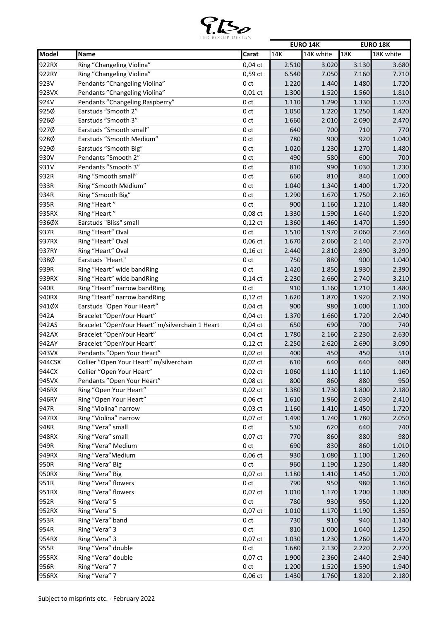

|        |                                                 |                 |       | <b>EURO 14K</b> |       | <b>EURO 18K</b> |
|--------|-------------------------------------------------|-----------------|-------|-----------------|-------|-----------------|
| Model  | Name                                            | Carat           | 14K   | 14K white       | 18K   | 18K white       |
| 922RX  | Ring "Changeling Violina"                       | $0,04$ ct       | 2.510 | 3.020           | 3.130 | 3.680           |
| 922RY  | Ring "Changeling Violina"                       | 0,59 ct         | 6.540 | 7.050           | 7.160 | 7.710           |
| 923V   | Pendants "Changeling Violina"                   | 0 <sub>ct</sub> | 1.220 | 1.440           | 1.480 | 1.720           |
| 923VX  | Pendants "Changeling Violina"                   | $0,01$ ct       | 1.300 | 1.520           | 1.560 | 1.810           |
| 924V   | Pendants "Changeling Raspberry"                 | 0 <sub>ct</sub> | 1.110 | 1.290           | 1.330 | 1.520           |
| 925Ø   | Earstuds "Smooth 2"                             | 0 <sub>ct</sub> | 1.050 | 1.220           | 1.250 | 1.420           |
| 926Ø   | Earstuds "Smooth 3"                             | 0 <sub>ct</sub> | 1.660 | 2.010           | 2.090 | 2.470           |
| 927Ø   | Earstuds "Smooth small"                         | 0 <sub>ct</sub> | 640   | 700             | 710   | 770             |
| 928Ø   | Earstuds "Smooth Medium"                        | 0 <sub>ct</sub> | 780   | 900             | 920   | 1.040           |
| 929Ø   | Earstuds "Smooth Big"                           | 0 ct            | 1.020 | 1.230           | 1.270 | 1.480           |
| 930V   | Pendants "Smooth 2"                             | 0 <sub>ct</sub> | 490   | 580             | 600   | 700             |
| 931V   | Pendants "Smooth 3"                             | 0 <sub>ct</sub> | 810   | 990             | 1.030 | 1.230           |
| 932R   | Ring "Smooth small"                             | 0 ct            | 660   | 810             | 840   | 1.000           |
| 933R   | Ring "Smooth Medium"                            | 0 <sub>ct</sub> | 1.040 | 1.340           | 1.400 | 1.720           |
| 934R   | Ring "Smooth Big"                               | 0 <sub>ct</sub> | 1.290 | 1.670           | 1.750 | 2.160           |
| 935R   | Ring "Heart"                                    | 0 <sub>ct</sub> | 900   | 1.160           | 1.210 | 1.480           |
| 935RX  | Ring "Heart"                                    | 0,08 ct         | 1.330 | 1.590           | 1.640 | 1.920           |
| 936ØX  | Earstuds "Bliss" small                          | $0,12$ ct       | 1.360 | 1.460           | 1.470 | 1.590           |
| 937R   | Ring "Heart" Oval                               | 0 <sub>ct</sub> | 1.510 | 1.970           | 2.060 | 2.560           |
| 937RX  | Ring "Heart" Oval                               | $0,06$ ct       | 1.670 | 2.060           | 2.140 | 2.570           |
| 937RY  | Ring "Heart" Oval                               | $0,16$ ct       | 2.440 | 2.810           | 2.890 | 3.290           |
| 938Ø   | Earstuds "Heart"                                | 0 <sub>ct</sub> | 750   | 880             | 900   | 1.040           |
| 939R   | Ring "Heart" wide bandRing                      | 0 <sub>ct</sub> | 1.420 | 1.850           | 1.930 | 2.390           |
| 939RX  | Ring "Heart" wide bandRing                      | $0,14$ ct       | 2.230 | 2.660           | 2.740 | 3.210           |
| 940R   | Ring "Heart" narrow bandRing                    | 0 <sub>ct</sub> | 910   | 1.160           | 1.210 | 1.480           |
| 940RX  | Ring "Heart" narrow bandRing                    | $0,12$ ct       | 1.620 | 1.870           | 1.920 | 2.190           |
| 941ØX  | Earstuds "Open Your Heart"                      | $0,04$ ct       | 900   | 980             | 1.000 | 1.100           |
| 942A   | Bracelet "OpenYour Heart"                       | $0,04$ ct       | 1.370 | 1.660           | 1.720 | 2.040           |
| 942AS  | Bracelet "OpenYour Heart" m/silverchain 1 Heart | $0,04$ ct       | 650   | 690             | 700   | 740             |
| 942AX  | Bracelet "OpenYour Heart"                       | $0,04$ ct       | 1.780 | 2.160           | 2.230 | 2.630           |
| 942AY  | Bracelet "OpenYour Heart"                       | $0,12$ ct       | 2.250 | 2.620           | 2.690 | 3.090           |
| 943VX  | Pendants "Open Your Heart"                      | $0,02$ ct       | 400   | 450             | 450   | 510             |
| 944CSX | Collier "Open Your Heart" m/silverchain         | $0,02$ ct       | 610   | 640             | 640   | 680             |
| 944CX  | Collier "Open Your Heart"                       | $0,\!02$ ct     | 1.060 | 1.110           | 1.110 | 1.160           |
| 945VX  | Pendants "Open Your Heart"                      | $0,08$ ct       | 800   | 860             | 880   | 950             |
| 946RX  | Ring "Open Your Heart"                          | $0,02$ ct       | 1.380 | 1.730           | 1.800 | 2.180           |
| 946RY  | Ring "Open Your Heart"                          | $0,06$ ct       | 1.610 | 1.960           | 2.030 | 2.410           |
| 947R   | Ring "Violina" narrow                           | $0,03$ ct       | 1.160 | 1.410           | 1.450 | 1.720           |
| 947RX  | Ring "Violina" narrow                           | $0,07$ ct       | 1.490 | 1.740           | 1.780 | 2.050           |
| 948R   | Ring "Vera" small                               | 0 <sub>ct</sub> | 530   | 620             | 640   | 740             |
| 948RX  | Ring "Vera" small                               | $0,07$ ct       | 770   | 860             | 880   | 980             |
| 949R   | Ring "Vera" Medium                              | 0 <sub>ct</sub> | 690   | 830             | 860   | 1.010           |
| 949RX  | Ring "Vera"Medium                               | $0,06$ ct       | 930   | 1.080           | 1.100 | 1.260           |
| 950R   | Ring "Vera" Big                                 | 0 ct            | 960   | 1.190           | 1.230 | 1.480           |
| 950RX  | Ring "Vera" Big                                 |                 |       |                 |       |                 |
|        | Ring "Vera" flowers                             | $0,07$ ct       | 1.180 | 1.410           | 1.450 | 1.700           |
| 951R   |                                                 | 0 <sub>ct</sub> | 790   | 950             | 980   | 1.160           |
| 951RX  | Ring "Vera" flowers                             | $0,07$ ct       | 1.010 | 1.170           | 1.200 | 1.380           |
| 952R   | Ring "Vera" 5                                   | 0 <sub>ct</sub> | 780   | 930             | 950   | 1.120           |
| 952RX  | Ring "Vera" 5                                   | $0,07$ ct       | 1.010 | 1.170           | 1.190 | 1.350           |
| 953R   | Ring "Vera" band                                | 0 <sub>ct</sub> | 730   | 910             | 940   | 1.140           |
| 954R   | Ring "Vera" 3                                   | 0 <sub>ct</sub> | 810   | 1.000           | 1.040 | 1.250           |
| 954RX  | Ring "Vera" 3                                   | $0,07$ ct       | 1.030 | 1.230           | 1.260 | 1.470           |
| 955R   | Ring "Vera" double                              | 0 ct            | 1.680 | 2.130           | 2.220 | 2.720           |
| 955RX  | Ring "Vera" double                              | $0,07$ ct       | 1.900 | 2.360           | 2.440 | 2.940           |
| 956R   | Ring "Vera" 7                                   | 0 <sub>ct</sub> | 1.200 | 1.520           | 1.590 | 1.940           |
| 956RX  | Ring "Vera" 7                                   | $0,06$ ct       | 1.430 | 1.760           | 1.820 | 2.180           |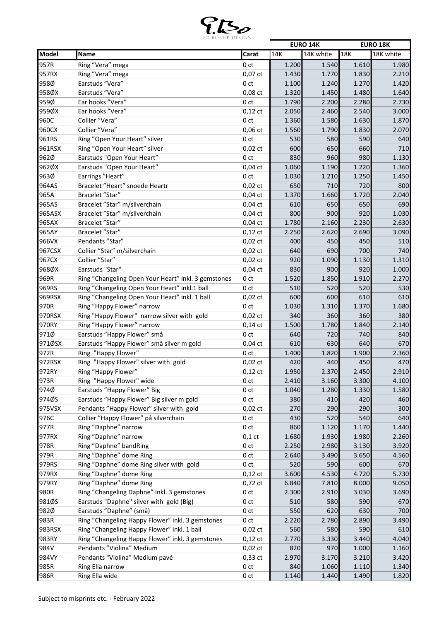

|        |                                                     |                  |       | <b>EURO 14K</b> |       | <b>EURO 18K</b> |
|--------|-----------------------------------------------------|------------------|-------|-----------------|-------|-----------------|
| Model  | Name                                                | Carat            | 14K   | 14K white       | 18K   | 18K white       |
| 957R   | Ring "Vera" mega                                    | 0 <sub>ct</sub>  | 1.200 | 1.540           | 1.610 | 1.980           |
| 957RX  | Ring "Vera" mega                                    | 0,07 ct          | 1.430 | 1.770           | 1.830 | 2.210           |
| 958Ø   | Earstuds "Vera"                                     | 0 <sub>ct</sub>  | 1.100 | 1.240           | 1.270 | 1.420           |
| 958ØX  | Earstuds "Vera"                                     | 0,08 ct          | 1.320 | 1.450           | 1.480 | 1.640           |
| 959Ø   | Ear hooks "Vera"                                    | 0 <sub>ct</sub>  | 1.790 | 2.200           | 2.280 | 2.730           |
| 959ØX  | Ear hooks "Vera"                                    | $0,12$ ct        | 2.050 | 2.460           | 2.540 | 3.000           |
| 960C   | Collier "Vera"                                      | 0 <sub>ct</sub>  | 1.360 | 1.580           | 1.630 | 1.870           |
| 960CX  | Collier "Vera"                                      | $0,06$ ct        | 1.560 | 1.790           | 1.830 | 2.070           |
| 961RS  | Ring "Open Your Heart" silver                       | 0 <sub>ct</sub>  | 530   | 580             | 590   | 640             |
| 961RSX | Ring "Open Your Heart" silver                       | $0,02$ ct        | 600   | 650             | 660   | 710             |
| 962Ø   | Earstuds "Open Your Heart"                          | 0 <sub>ct</sub>  | 830   | 960             | 980   | 1.130           |
| 962ØX  | Earstuds "Open Your Heart"                          | $0,04$ ct        | 1.060 | 1.190           | 1.220 | 1.360           |
| 963Ø   | Earrings "Heart"                                    | 0 <sub>ct</sub>  | 1.030 | 1.210           | 1.250 | 1.450           |
| 964AS  | Bracelet "Heart" snoede Heartr                      | $0,02$ ct        | 650   | 710             | 720   | 800             |
| 965A   | Bracelet "Star"                                     | $0,04$ ct        | 1.370 | 1.660           | 1.720 | 2.040           |
| 965AS  | Bracelet "Star" m/silverchain                       | $0,04$ ct        | 610   | 650             | 650   | 690             |
|        |                                                     |                  |       |                 |       |                 |
| 965ASX | Bracelet "Star" m/silverchain<br>Bracelet "Star"    | $0,04$ ct        | 800   | 900             | 920   | 1.030           |
| 965AX  |                                                     | $0,04$ ct        | 1.780 | 2.160           | 2.230 | 2.630           |
| 965AY  | Bracelet "Star"                                     | $0,12$ ct        | 2.250 | 2.620           | 2.690 | 3.090           |
| 966VX  | Pendants "Star"                                     | $0,02$ ct        | 400   | 450             | 450   | 510             |
| 967CSX | Collier "Star" m/silverchain                        | $0,02$ ct        | 640   | 690             | 700   | 740             |
| 967CX  | Collier "Star"                                      | $0,02$ ct        | 920   | 1.090           | 1.130 | 1.310           |
| 968ØX  | Earstuds "Star"                                     | $0,04$ ct        | 830   | 900             | 920   | 1.000           |
| 969R   | Ring "Changeling Open Your Heart" inkl. 3 gemstones | 0 ct             | 1.520 | 1.850           | 1.910 | 2.270           |
| 969RS  | Ring "Changeling Open Your Heart" inkl.1 ball       | 0 <sub>ct</sub>  | 510   | 520             | 520   | 530             |
| 969RSX | Ring "Changeling Open Your Heart" inkl. 1 ball      | $0,02$ ct        | 600   | 600             | 610   | 610             |
| 970R   | Ring "Happy Flower" narrow                          | 0 <sub>ct</sub>  | 1.030 | 1.310           | 1.370 | 1.680           |
| 970RSX | Ring "Happy Flower" narrow silver with gold         | $0,02$ ct        | 340   | 360             | 360   | 380             |
| 970RY  | Ring "Happy Flower" narrow                          | $0,14$ ct        | 1.500 | 1.780           | 1.840 | 2.140           |
| 971Ø   | Earstuds "Happy Flower" små                         | 0 <sub>ct</sub>  | 640   | 720             | 740   | 840             |
| 971ØSX | Earstuds "Happy Flower" små silver m gold           | $0,04$ ct        | 610   | 630             | 640   | 670             |
| 972R   | Ring "Happy Flower"                                 | 0ct              | 1.400 | 1.820           | 1.900 | 2.360           |
| 972RSX | Ring "Happy Flower" silver with gold                | $0,02$ ct        | 420   | 440             | 450   | 470             |
| 972RY  | Ring "Happy Flower"                                 | $0,12$ ct        | 1.950 | 2.370           | 2.450 | 2.910           |
| 973R   | Ring "Happy Flower" wide                            | 0 ct             | 2.410 | 3.160           | 3.300 | 4.100           |
| 974Ø   | Earstuds "Happy Flower" Big                         | 0 ct             | 1.040 | 1.280           | 1.330 | 1.580           |
| 974ØS  | Earstuds "Happy Flower" Big silver m gold           | 0 <sub>ct</sub>  | 380   | 410             | 420   | 460             |
| 975VSX | Pendants "Happy Flower" silver with gold            | $0,02$ ct        | 270   | 290             | 290   | 300             |
| 976C   | Collier "Happy Flower" på silverchain               | 0 ct             | 430   | 520             | 540   | 640             |
| 977R   | Ring "Daphne" narrow                                | 0 <sub>ct</sub>  | 860   | 1.120           | 1.170 | 1.440           |
| 977RX  | Ring "Daphne" narrow                                | $0,1$ ct         | 1.680 | 1.930           | 1.980 | 2.260           |
| 978R   | Ring "Daphne" bandRing                              | 0 <sub>ct</sub>  | 2.250 | 2.980           | 3.130 | 3.920           |
| 979R   | Ring "Daphne" dome Ring                             | 0 <sub>ct</sub>  | 2.640 | 3.490           | 3.650 | 4.560           |
| 979RS  | Ring "Daphne" dome Ring silver with gold            | 0 <sub>ct</sub>  | 520   | 590             | 600   | 670             |
| 979RX  | Ring "Daphne" dome Ring                             | $0,12$ ct        | 3.600 | 4.530           | 4.720 | 5.730           |
| 979RY  | Ring "Daphne" dome Ring                             | $0,72$ ct        | 6.840 | 7.810           | 8.000 | 9.050           |
| 980R   | Ring "Changeling Daphne" inkl. 3 gemstones          | 0 <sub>ct</sub>  | 2.300 | 2.910           | 3.030 | 3.690           |
| 981ØS  | Earstuds "Daphne" silver with gold (Big)            | 0 ct             | 510   | 580             | 590   | 670             |
| 982Ø   | Earstuds "Daphne" (små)                             | 0 <sub>ct</sub>  | 550   | 620             | 630   | 700             |
| 983R   | Ring "Changeling Happy Flower" inkl. 3 gemstones    | 0 <sub>ct</sub>  | 2.220 | 2.780           | 2.890 | 3.490           |
| 983RSX | Ring "Changeling Happy Flower" inkl. 1 ball         | $0,02\ {\rm ct}$ | 560   | 580             | 590   | 610             |
| 983RY  | Ring "Changeling Happy Flower" inkl. 3 gemstones    |                  |       |                 |       |                 |
|        |                                                     | $0,12$ ct        | 2.770 | 3.330           | 3.440 | 4.040           |
| 984V   | Pendants "Violina" Medium                           | $0,02$ ct        | 820   | 970             | 1.000 | 1.160           |
| 984VY  | Pendants "Violina" Medium pavé                      | 0,33 ct          | 2.970 | 3.170           | 3.210 | 3.420           |
| 985R   | Ring Ella narrow                                    | 0 <sub>ct</sub>  | 840   | 1.060           | 1.110 | 1.340           |
| 986R   | Ring Ella wide                                      | 0ct              | 1.140 | 1.440           | 1.490 | 1.820           |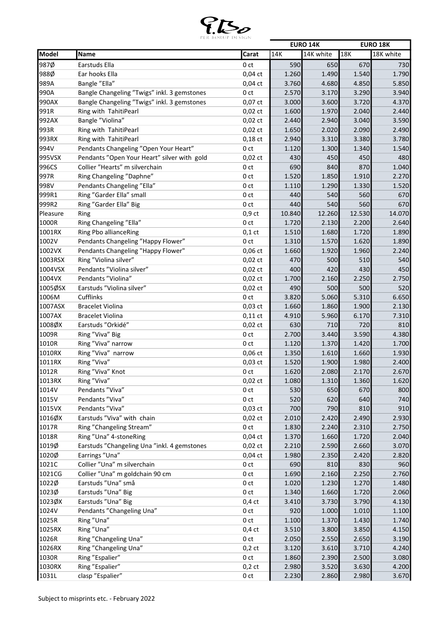

|          |                                             |                 |        | <b>EURO 14K</b> |        | <b>EURO 18K</b> |
|----------|---------------------------------------------|-----------------|--------|-----------------|--------|-----------------|
| Model    | Name                                        | Carat           | 14K    | 14K white       | 18K    | 18K white       |
| 987Ø     | Earstuds Ella                               | 0 <sub>ct</sub> | 590    | 650             | 670    | 730             |
| 988Ø     | Ear hooks Ella                              | $0,04$ ct       | 1.260  | 1.490           | 1.540  | 1.790           |
| 989A     | Bangle "Ella"                               | $0,04$ ct       | 3.760  | 4.680           | 4.850  | 5.850           |
| 990A     | Bangle Changeling "Twigs" inkl. 3 gemstones | 0 ct            | 2.570  | 3.170           | 3.290  | 3.940           |
| 990AX    | Bangle Changeling "Twigs" inkl. 3 gemstones | 0,07 ct         | 3.000  | 3.600           | 3.720  | 4.370           |
| 991R     | Ring with TahitiPearl                       | $0,02$ ct       | 1.600  | 1.970           | 2.040  | 2.440           |
| 992AX    | Bangle "Violina"                            | $0,02$ ct       | 2.440  | 2.940           | 3.040  | 3.590           |
| 993R     | Ring with TahitiPearl                       | $0,02$ ct       | 1.650  | 2.020           | 2.090  | 2.490           |
| 993RX    | Ring with TahitiPearl                       | $0,18$ ct       | 2.940  | 3.310           | 3.380  | 3.780           |
| 994V     | Pendants Changeling "Open Your Heart"       | 0 ct            | 1.120  | 1.300           | 1.340  | 1.540           |
| 995VSX   | Pendants "Open Your Heart" silver with gold | $0,02$ ct       | 430    | 450             | 450    | 480             |
| 996CS    | Collier "Hearts" m silverchain              | 0 <sub>ct</sub> | 690    | 840             | 870    | 1.040           |
| 997R     | Ring Changeling "Daphne"                    | 0 <sub>ct</sub> | 1.520  | 1.850           | 1.910  | 2.270           |
| 998V     | Pendants Changeling "Ella"                  | 0 ct            | 1.110  | 1.290           | 1.330  | 1.520           |
| 999R1    | Ring "Garder Ella" small                    | 0 <sub>ct</sub> | 440    | 540             | 560    | 670             |
| 999R2    | Ring "Garder Ella" Big                      | 0 <sub>ct</sub> | 440    | 540             | 560    | 670             |
| Pleasure | Ring                                        | $0,9$ ct        | 10.840 | 12.260          | 12.530 | 14.070          |
| 1000R    | Ring Changeling "Ella"                      | 0 <sub>ct</sub> | 1.720  | 2.130           | 2.200  | 2.640           |
| 1001RX   | Ring Pbo allianceRing                       | $0,1$ ct        | 1.510  | 1.680           | 1.720  | 1.890           |
| 1002V    | Pendants Changeling "Happy Flower"          | 0 <sub>ct</sub> | 1.310  | 1.570           | 1.620  | 1.890           |
| 1002VX   | Pendants Changeling "Happy Flower"          | 0,06 ct         | 1.660  | 1.920           | 1.960  | 2.240           |
| 1003RSX  | Ring "Violina silver"                       | $0,02$ ct       | 470    | 500             | 510    | 540             |
| 1004VSX  | Pendants "Violina silver"                   | $0,02$ ct       | 400    | 420             | 430    | 450             |
| 1004VX   | Pendants "Violina"                          |                 | 1.700  |                 |        | 2.750           |
|          |                                             | $0,02$ ct       |        | 2.160           | 2.250  |                 |
| 1005ØSX  | Earstuds "Violina silver"                   | $0,02$ ct       | 490    | 500             | 500    | 520             |
| 1006M    | Cufflinks                                   | 0 <sub>ct</sub> | 3.820  | 5.060           | 5.310  | 6.650           |
| 1007ASX  | <b>Bracelet Violina</b>                     | $0,03$ ct       | 1.660  | 1.860           | 1.900  | 2.130           |
| 1007AX   | <b>Bracelet Violina</b>                     | $0,11$ ct       | 4.910  | 5.960           | 6.170  | 7.310           |
| 1008ØX   | Earstuds "Orkidé"                           | $0,02$ ct       | 630    | 710             | 720    | 810             |
| 1009R    | Ring "Viva" Big                             | 0 <sub>ct</sub> | 2.700  | 3.440           | 3.590  | 4.380           |
| 1010R    | Ring "Viva" narrow                          | 0 <sub>ct</sub> | 1.120  | 1.370           | 1.420  | 1.700           |
| 1010RX   | Ring "Viva" narrow                          | 0,06 ct         | 1.350  | 1.610           | 1.660  | 1.930           |
| 1011RX   | Ring "Viva"                                 | $0,03$ ct       | 1.520  | 1.900           | 1.980  | 2.400           |
| 1012R    | Ring "Viva" Knot                            | 0 ct            | 1.620  | 2.080           | 2.170  | 2.670           |
| 1013RX   | Ring "Viva"                                 | $0,02$ ct       | 1.080  | 1.310           | 1.360  | 1.620           |
| 1014V    | Pendants "Viva"                             | 0 <sub>ct</sub> | 530    | 650             | 670    | 800             |
| 1015V    | Pendants "Viva"                             | 0 <sub>ct</sub> | 520    | 620             | 640    | 740             |
| 1015VX   | Pendants "Viva"                             | $0,03$ ct       | 700    | 790             | 810    | 910             |
| 1016ØX   | Earstuds "Viva" with chain                  | $0,02$ ct       | 2.010  | 2.420           | 2.490  | 2.930           |
| 1017R    | Ring "Changeling Stream"                    | 0 <sub>ct</sub> | 1.830  | 2.240           | 2.310  | 2.750           |
| 1018R    | Ring "Una" 4-stoneRing                      | $0,04$ ct       | 1.370  | 1.660           | 1.720  | 2.040           |
| 1019Ø    | Earstuds "Changeling Una "inkl. 4 gemstones | $0,02$ ct       | 2.210  | 2.590           | 2.660  | 3.070           |
| 1020Ø    | Earrings "Una"                              | $0,04$ ct       | 1.980  | 2.350           | 2.420  | 2.820           |
| 1021C    | Collier "Una" m silverchain                 | 0 ct            | 690    | 810             | 830    | 960             |
| 1021CG   | Collier "Una" m goldchain 90 cm             | 0 <sub>ct</sub> | 1.690  | 2.160           | 2.250  | 2.760           |
| 1022Ø    | Earstuds "Una" små                          | 0 <sub>ct</sub> | 1.020  | 1.230           | 1.270  | 1.480           |
| 1023Ø    | Earstuds "Una" Big                          | 0 ct            | 1.340  | 1.660           | 1.720  | 2.060           |
| 1023ØX   | Earstuds "Una" Big                          | $0,4$ ct        | 3.410  | 3.730           | 3.790  | 4.130           |
| 1024V    | Pendants "Changeling Una"                   | 0 ct            | 920    | 1.000           | 1.010  | 1.100           |
| 1025R    | Ring "Una"                                  | 0 ct            | 1.100  | 1.370           | 1.430  | 1.740           |
| 1025RX   | Ring "Una"                                  | $0,4$ ct        | 3.510  | 3.800           | 3.850  | 4.150           |
| 1026R    | Ring "Changeling Una"                       | 0 ct            | 2.050  | 2.550           | 2.650  | 3.190           |
| 1026RX   | Ring "Changeling Una"                       | $0,2$ ct        | 3.120  | 3.610           | 3.710  | 4.240           |
| 1030R    | Ring "Espalier"                             | 0 ct            | 1.860  | 2.390           | 2.500  | 3.080           |
| 1030RX   | Ring "Espalier"                             | $0,2$ ct        | 2.980  | 3.520           | 3.630  | 4.200           |
| 1031L    | clasp "Espalier"                            | 0 ct            | 2.230  | 2.860           | 2.980  | 3.670           |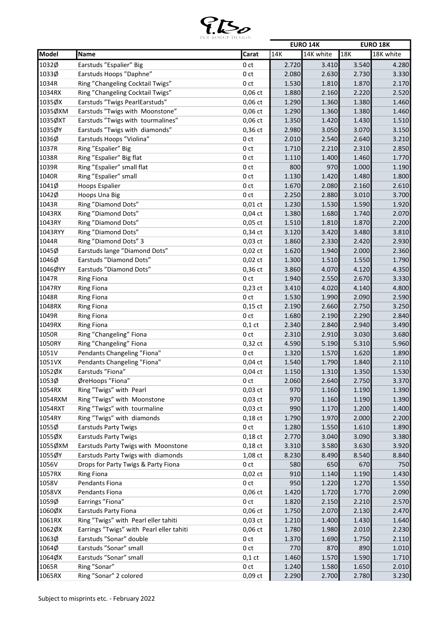

|         |                                          |                 |       | <b>EURO 14K</b> |       | <b>EURO 18K</b> |
|---------|------------------------------------------|-----------------|-------|-----------------|-------|-----------------|
| Model   | Name                                     | Carat           | 14K   | 14K white       | 18K   | 18K white       |
| 1032Ø   | Earstuds "Espalier" Big                  | 0 ct            | 2.720 | 3.410           | 3.540 | 4.280           |
| 1033Ø   | Earstuds Hoops "Daphne"                  | 0 <sub>ct</sub> | 2.080 | 2.630           | 2.730 | 3.330           |
| 1034R   | Ring "Changeling Cocktail Twigs"         | 0 <sub>ct</sub> | 1.530 | 1.810           | 1.870 | 2.170           |
| 1034RX  | Ring "Changeling Cocktail Twigs"         | $0,06$ ct       | 1.880 | 2.160           | 2.220 | 2.520           |
| 1035ØX  | Earstuds "Twigs PearlEarstuds"           | 0,06 ct         | 1.290 | 1.360           | 1.380 | 1.460           |
| 1035ØXM | Earstuds "Twigs with Moonstone"          | $0,06$ ct       | 1.290 | 1.360           | 1.380 | 1.460           |
| 1035ØXT | Earstuds "Twigs with tourmalines"        | $0,06$ ct       | 1.350 | 1.420           | 1.430 | 1.510           |
| 1035ØY  | Earstuds "Twigs with diamonds"           | 0,36 ct         | 2.980 | 3.050           | 3.070 | 3.150           |
| 1036Ø   | Earstuds Hoops "Violina"                 | 0 ct            | 2.010 | 2.540           | 2.640 | 3.210           |
| 1037R   | Ring "Espalier" Big                      | 0 ct            | 1.710 | 2.210           | 2.310 | 2.850           |
| 1038R   | Ring "Espalier" Big flat                 | 0 <sub>ct</sub> | 1.110 | 1.400           | 1.460 | 1.770           |
| 1039R   | Ring "Espalier" small flat               | 0 <sub>ct</sub> | 800   | 970             | 1.000 | 1.190           |
| 1040R   | Ring "Espalier" small                    | 0 ct            | 1.130 | 1.420           | 1.480 | 1.800           |
| 1041Ø   | Hoops Espalier                           | 0 ct            | 1.670 | 2.080           | 2.160 | 2.610           |
| 1042Ø   | Hoops Una Big                            | 0 <sub>ct</sub> | 2.250 | 2.880           | 3.010 | 3.700           |
| 1043R   | Ring "Diamond Dots"                      | $0,01$ ct       | 1.230 | 1.530           | 1.590 | 1.920           |
| 1043RX  | Ring "Diamond Dots"                      | $0,04$ ct       | 1.380 | 1.680           | 1.740 | 2.070           |
| 1043RY  | Ring "Diamond Dots"                      | $0,05$ ct       | 1.510 | 1.810           | 1.870 | 2.200           |
| 1043RYY | Ring "Diamond Dots"                      | 0,34 ct         | 3.120 | 3.420           | 3.480 | 3.810           |
| 1044R   | Ring "Diamond Dots" 3                    | $0,03$ ct       | 1.860 | 2.330           | 2.420 | 2.930           |
| 1045Ø   | Earstuds lange "Diamond Dots"            | $0,02$ ct       | 1.620 | 1.940           | 2.000 | 2.360           |
| 1046Ø   | Earstuds "Diamond Dots"                  |                 |       |                 |       |                 |
|         |                                          | $0,02$ ct       | 1.300 | 1.510           | 1.550 | 1.790           |
| 1046ØYY | Earstuds "Diamond Dots"                  | 0,36 ct         | 3.860 | 4.070           | 4.120 | 4.350           |
| 1047R   | <b>Ring Fiona</b>                        | 0 <sub>ct</sub> | 1.940 | 2.550           | 2.670 | 3.330           |
| 1047RY  | <b>Ring Fiona</b>                        | $0,23$ ct       | 3.410 | 4.020           | 4.140 | 4.800           |
| 1048R   | <b>Ring Fiona</b>                        | 0 <sub>ct</sub> | 1.530 | 1.990           | 2.090 | 2.590           |
| 1048RX  | <b>Ring Fiona</b>                        | $0,15$ ct       | 2.190 | 2.660           | 2.750 | 3.250           |
| 1049R   | <b>Ring Fiona</b>                        | 0 ct            | 1.680 | 2.190           | 2.290 | 2.840           |
| 1049RX  | <b>Ring Fiona</b>                        | $0,1$ ct        | 2.340 | 2.840           | 2.940 | 3.490           |
| 1050R   | Ring "Changeling" Fiona                  | 0 <sub>ct</sub> | 2.310 | 2.910           | 3.030 | 3.680           |
| 1050RY  | Ring "Changeling" Fiona                  | $0,32$ ct       | 4.590 | 5.190           | 5.310 | 5.960           |
| 1051V   | Pendants Changeling "Fiona"              | 0 <sub>ct</sub> | 1.320 | 1.570           | 1.620 | 1.890           |
| 1051VX  | Pendants Changeling "Fiona"              | $0,04$ ct       | 1.540 | 1.790           | 1.840 | 2.110           |
| 1052ØX  | Earstuds "Fiona"                         | $0,04$ ct       | 1.150 | 1.310           | 1.350 | 1.530           |
| 1053Ø   | ØreHoops "Fiona"                         | 0 ct            | 2.060 | 2.640           | 2.750 | 3.370           |
| 1054RX  | Ring "Twigs" with Pearl                  | $0,03$ ct       | 970   | 1.160           | 1.190 | 1.390           |
| 1054RXM | Ring "Twigs" with Moonstone              | $0,03$ ct       | 970   | 1.160           | 1.190 | 1.390           |
| 1054RXT | Ring "Twigs" with tourmaline             | $0,03$ ct       | 990   | 1.170           | 1.200 | 1.400           |
| 1054RY  | Ring "Twigs" with diamonds               | $0,18$ ct       | 1.790 | 1.970           | 2.000 | 2.200           |
| 1055Ø   | <b>Earstuds Party Twigs</b>              | 0 ct            | 1.280 | 1.550           | 1.610 | 1.890           |
| 1055ØX  | <b>Earstuds Party Twigs</b>              | $0,18$ ct       | 2.770 | 3.040           | 3.090 | 3.380           |
| 1055ØXM | Earstuds Party Twigs with Moonstone      | $0,18$ ct       | 3.310 | 3.580           | 3.630 | 3.920           |
| 1055ØY  | Earstuds Party Twigs with diamonds       | 1,08 ct         | 8.230 | 8.490           | 8.540 | 8.840           |
| 1056V   | Drops for Party Twigs & Party Fiona      | 0 ct            | 580   | 650             | 670   | 750             |
| 1057RX  | <b>Ring Fiona</b>                        | $0,02$ ct       | 910   | 1.140           | 1.190 | 1.430           |
| 1058V   | Pendants Fiona                           | 0 <sub>ct</sub> | 950   | 1.220           | 1.270 | 1.550           |
| 1058VX  | Pendants Fiona                           | $0,06$ ct       | 1.420 | 1.720           | 1.770 | 2.090           |
| 1059Ø   | Earrings "Fiona"                         | 0 ct            | 1.820 | 2.150           | 2.210 | 2.570           |
| 1060ØX  | <b>Earstuds Party Fiona</b>              | 0,06 ct         | 1.750 | 2.070           | 2.130 | 2.470           |
| 1061RX  | Ring "Twigs" with Pearl eller tahiti     | $0,03$ ct       | 1.210 | 1.400           | 1.430 | 1.640           |
| 1062ØX  | Earrings "Twigs" with Pearl eller tahiti | 0,06 ct         | 1.780 | 1.980           | 2.010 | 2.230           |
| 1063Ø   | Earstuds "Sonar" double                  | 0 ct            | 1.370 | 1.690           | 1.750 | 2.110           |
| 1064Ø   | Earstuds "Sonar" small                   | 0 ct            | 770   | 870             | 890   | 1.010           |
| 1064ØX  | Earstuds "Sonar" small                   | $0,1$ ct        | 1.460 | 1.570           | 1.590 | 1.710           |
| 1065R   | Ring "Sonar"                             | 0 ct            | 1.240 | 1.580           | 1.650 | 2.010           |
| 1065RX  | Ring "Sonar" 2 colored                   | $0,09$ ct       | 2.290 | 2.700           | 2.780 | 3.230           |
|         |                                          |                 |       |                 |       |                 |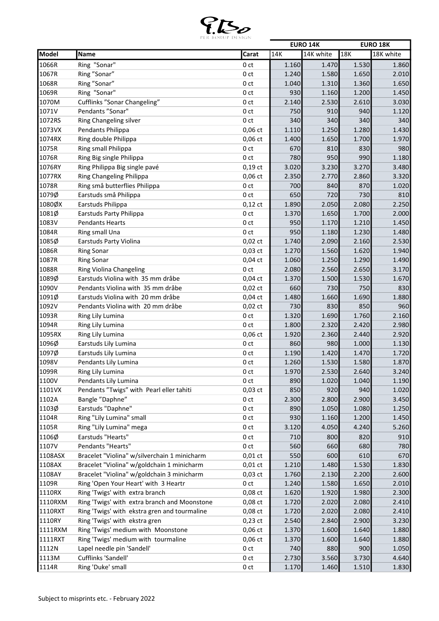

|         |                                              |                 |       | <b>EURO 14K</b> |       | <b>EURO 18K</b> |
|---------|----------------------------------------------|-----------------|-------|-----------------|-------|-----------------|
| Model   | Name                                         | Carat           | 14K   | 14K white       | 18K   | 18K white       |
| 1066R   | Ring "Sonar"                                 | 0 <sub>ct</sub> | 1.160 | 1.470           | 1.530 | 1.860           |
| 1067R   | Ring "Sonar"                                 | 0 <sub>ct</sub> | 1.240 | 1.580           | 1.650 | 2.010           |
| 1068R   | Ring "Sonar"                                 | 0 <sub>ct</sub> | 1.040 | 1.310           | 1.360 | 1.650           |
| 1069R   | Ring "Sonar"                                 | 0 <sub>ct</sub> | 930   | 1.160           | 1.200 | 1.450           |
| 1070M   | Cufflinks "Sonar Changeling"                 | 0 <sub>ct</sub> | 2.140 | 2.530           | 2.610 | 3.030           |
| 1071V   | Pendants "Sonar"                             | 0 <sub>ct</sub> | 750   | 910             | 940   | 1.120           |
| 1072RS  | Ring Changeling silver                       | 0 <sub>ct</sub> | 340   | 340             | 340   | 340             |
| 1073VX  | Pendants Philippa                            | $0,06$ ct       | 1.110 | 1.250           | 1.280 | 1.430           |
| 1074RX  | Ring double Philippa                         | $0,06$ ct       | 1.400 | 1.650           | 1.700 | 1.970           |
| 1075R   | Ring small Philippa                          | 0 <sub>ct</sub> | 670   | 810             | 830   | 980             |
| 1076R   | Ring Big single Philippa                     | 0 <sub>ct</sub> | 780   | 950             | 990   | 1.180           |
| 1076RY  | Ring Philippa Big single pavé                | $0,19$ ct       | 3.020 | 3.230           | 3.270 | 3.480           |
| 1077RX  | Ring Changeling Philippa                     | 0,06 ct         | 2.350 | 2.770           | 2.860 | 3.320           |
| 1078R   | Ring små butterflies Philippa                | 0ct             | 700   | 840             | 870   | 1.020           |
| 1079Ø   | Earstuds små Philippa                        | 0 <sub>ct</sub> | 650   | 720             | 730   | 810             |
| 1080ØX  | Earstuds Philippa                            | $0,12$ ct       | 1.890 | 2.050           | 2.080 | 2.250           |
| 1081Ø   | Earstuds Party Philippa                      | 0 <sub>ct</sub> | 1.370 | 1.650           | 1.700 | 2.000           |
| 1083V   | <b>Pendants Hearts</b>                       | 0 <sub>ct</sub> | 950   | 1.170           | 1.210 | 1.450           |
| 1084R   | Ring small Una                               | 0 <sub>ct</sub> | 950   | 1.180           | 1.230 | 1.480           |
| 1085Ø   | <b>Earstuds Party Violina</b>                | $0,02$ ct       | 1.740 | 2.090           | 2.160 | 2.530           |
| 1086R   | <b>Ring Sonar</b>                            | $0,03$ ct       | 1.270 | 1.560           | 1.620 | 1.940           |
| 1087R   | <b>Ring Sonar</b>                            | $0,04$ ct       | 1.060 | 1.250           | 1.290 | 1.490           |
| 1088R   | Ring Violina Changeling                      | 0 <sub>ct</sub> | 2.080 | 2.560           | 2.650 | 3.170           |
| 1089Ø   | Earstuds Violina with 35 mm dråbe            | $0,04$ ct       | 1.370 | 1.500           | 1.530 | 1.670           |
| 1090V   | Pendants Violina with 35 mm dråbe            | $0,02$ ct       | 660   | 730             | 750   | 830             |
| 1091Ø   | Earstuds Violina with 20 mm dråbe            | $0,04$ ct       | 1.480 | 1.660           | 1.690 | 1.880           |
| 1092V   | Pendants Violina with 20 mm dråbe            | $0,02$ ct       | 730   | 830             | 850   | 960             |
| 1093R   | Ring Lily Lumina                             | 0 <sub>ct</sub> | 1.320 | 1.690           | 1.760 | 2.160           |
| 1094R   | Ring Lily Lumina                             | 0 <sub>ct</sub> | 1.800 | 2.320           | 2.420 | 2.980           |
| 1095RX  | Ring Lily Lumina                             | $0,06$ ct       | 1.920 | 2.360           | 2.440 | 2.920           |
| 1096Ø   | Earstuds Lily Lumina                         | 0 <sub>ct</sub> | 860   | 980             | 1.000 | 1.130           |
| 1097Ø   | Earstuds Lily Lumina                         | 0 <sub>ct</sub> | 1.190 | 1.420           | 1.470 | 1.720           |
| 1098V   | Pendants Lily Lumina                         | 0ct             | 1.260 | 1.530           | 1.580 | 1.870           |
| 1099R   | Ring Lily Lumina                             | 0 <sub>ct</sub> | 1.970 | 2.530           | 2.640 | 3.240           |
| 1100V   | Pendants Lily Lumina                         | 0 ct            | 890   | 1.020           | 1.040 | 1.190           |
| 1101VX  | Pendants "Twigs" with Pearl eller tahiti     | $0,03$ ct       | 850   | 920             | 940   | 1.020           |
| 1102A   | Bangle "Daphne"                              | 0 ct            | 2.300 | 2.800           | 2.900 | 3.450           |
| 1103Ø   | Earstuds "Daphne"                            | 0 ct            | 890   | 1.050           | 1.080 | 1.250           |
| 1104R   | Ring "Lily Lumina" small                     | 0 ct            | 930   | 1.160           | 1.200 | 1.450           |
| 1105R   | Ring "Lily Lumina" mega                      | 0 ct            | 3.120 | 4.050           | 4.240 | 5.260           |
| 1106Ø   | Earstuds "Hearts"                            | 0 <sub>ct</sub> | 710   | 800             | 820   | 910             |
| 1107V   | Pendants "Hearts"                            | 0 ct            | 560   | 660             | 680   | 780             |
| 1108ASX | Bracelet "Violina" w/silverchain 1 minicharm | $0,01$ ct       | 550   | 600             | 610   | 670             |
| 1108AX  | Bracelet "Violina" w/goldchain 1 minicharm   | $0,01$ ct       | 1.210 | 1.480           | 1.530 | 1.830           |
| 1108AY  | Bracelet "Violina" w/goldchain 3 minicharm   | $0,03$ ct       | 1.760 | 2.130           | 2.200 | 2.600           |
| 1109R   | Ring 'Open Your Heart' with 3 Heartr         | 0 ct            | 1.240 | 1.580           | 1.650 | 2.010           |
|         |                                              |                 |       |                 |       |                 |
| 1110RX  | Ring 'Twigs' with extra branch               | 0,08 ct         | 1.620 | 1.920           | 1.980 | 2.300           |
| 1110RXM | Ring 'Twigs' with extra branch and Moonstone | 0,08 ct         | 1.720 | 2.020           | 2.080 | 2.410           |
| 1110RXT | Ring 'Twigs' with ekstra gren and tourmaline | 0,08 ct         | 1.720 | 2.020           | 2.080 | 2.410           |
| 1110RY  | Ring 'Twigs' with ekstra gren                | $0,23$ ct       | 2.540 | 2.840           | 2.900 | 3.230           |
| 1111RXM | Ring 'Twigs' medium with Moonstone           | 0,06 ct         | 1.370 | 1.600           | 1.640 | 1.880           |
| 1111RXT | Ring 'Twigs' medium with tourmaline          | $0,06$ ct       | 1.370 | 1.600           | 1.640 | 1.880           |
| 1112N   | Lapel needle pin 'Sandell'                   | 0 ct            | 740   | 880             | 900   | 1.050           |
| 1113M   | Cufflinks 'Sandell'                          | 0 ct            | 2.730 | 3.560           | 3.730 | 4.640           |
| 1114R   | Ring 'Duke' small                            | 0 ct            | 1.170 | 1.460           | 1.510 | 1.830           |